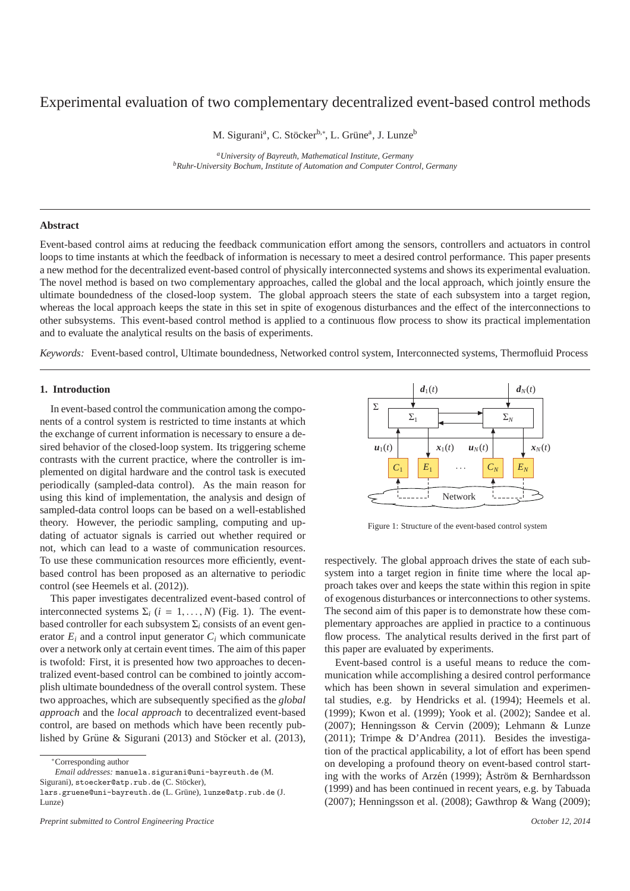# Experimental evaluation of two complementary decentralized event-based control methods

M. Sigurani<sup>a</sup>, C. Stöcker<sup>b,\*</sup>, L. Grüne<sup>a</sup>, J. Lunze<sup>b</sup>

*<sup>a</sup>University of Bayreuth, Mathematical Institute, Germany <sup>b</sup>Ruhr-University Bochum, Institute of Automation and Computer Control, Germany*

# **Abstract**

Event-based control aims at reducing the feedback communication effort among the sensors, controllers and actuators in control loops to time instants at which the feedback of information is necessary to meet a desired control performance. This paper presents a new method for the decentralized event-based control of physically interconnected systems and shows its experimental evaluation. The novel method is based on two complementary approaches, called the global and the local approach, which jointly ensure the ultimate boundedness of the closed-loop system. The global approach steers the state of each subsystem into a target region, whereas the local approach keeps the state in this set in spite of exogenous disturbances and the effect of the interconnections to other subsystems. This event-based control method is applied to a continuous flow process to show its practical implementation and to evaluate the analytical results on the basis of experiments.

*Keywords:* Event-based control, Ultimate boundedness, Networked control system, Interconnected systems, Thermofluid Process

# **1. Introduction**

In event-based control the communication among the components of a control system is restricted to time instants at which the exchange of current information is necessary to ensure a desired behavior of the closed-loop system. Its triggering scheme contrasts with the current practice, where the controller is implemented on digital hardware and the control task is executed periodically (sampled-data control). As the main reason for using this kind of implementation, the analysis and design of sampled-data control loops can be based on a well-established theory. However, the periodic sampling, computing and updating of actuator signals is carried out whether required or not, which can lead to a waste of communication resources. To use these communication resources more efficiently, eventbased control has been proposed as an alternative to periodic control (see Heemels et al. (2012)).

This paper investigates decentralized event-based control of interconnected systems  $\Sigma_i$  ( $i = 1, ..., N$ ) (Fig. 1). The eventbased controller for each subsystem  $\Sigma_i$  consists of an event generator  $E_i$  and a control input generator  $C_i$  which communicate over a network only at certain event times. The aim of this paper is twofold: First, it is presented how two approaches to decentralized event-based control can be combined to jointly accomplish ultimate boundedness of the overall control system. These two approaches, which are subsequently specified as the *global approach* and the *local approach* to decentralized event-based control, are based on methods which have been recently published by Grüne & Sigurani (2013) and Stöcker et al. (2013),

<sup>∗</sup>Corresponding author

Sigurani), stoecker@atp.rub.de (C. Stöcker),



Figure 1: Structure of the event-based control system

respectively. The global approach drives the state of each subsystem into a target region in finite time where the local approach takes over and keeps the state within this region in spite of exogenous disturbances or interconnections to other systems. The second aim of this paper is to demonstrate how these complementary approaches are applied in practice to a continuous flow process. The analytical results derived in the first part of this paper are evaluated by experiments.

Event-based control is a useful means to reduce the communication while accomplishing a desired control performance which has been shown in several simulation and experimental studies, e.g. by Hendricks et al. (1994); Heemels et al. (1999); Kwon et al. (1999); Yook et al. (2002); Sandee et al. (2007); Henningsson & Cervin (2009); Lehmann & Lunze (2011); Trimpe & D'Andrea (2011). Besides the investigation of the practical applicability, a lot of effort has been spend on developing a profound theory on event-based control starting with the works of Arzén (1999); Åström  $&$  Bernhardsson (1999) and has been continued in recent years, e.g. by Tabuada (2007); Henningsson et al. (2008); Gawthrop & Wang (2009);

*Email addresses:* manuela.sigurani@uni-bayreuth.de (M.

lars.gruene@uni-bayreuth.de (L. Grüne), lunze@atp.rub.de (J. Lunze)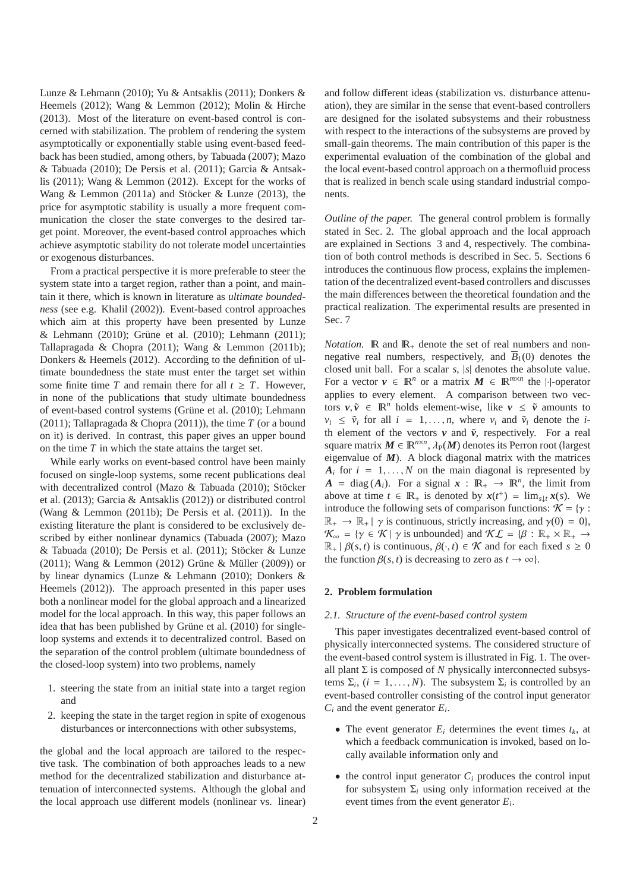Lunze & Lehmann (2010); Yu & Antsaklis (2011); Donkers & Heemels (2012); Wang & Lemmon (2012); Molin & Hirche (2013). Most of the literature on event-based control is concerned with stabilization. The problem of rendering the system asymptotically or exponentially stable using event-based feedback has been studied, among others, by Tabuada (2007); Mazo & Tabuada (2010); De Persis et al. (2011); Garcia & Antsaklis (2011); Wang & Lemmon (2012). Except for the works of Wang & Lemmon (2011a) and Stöcker & Lunze (2013), the price for asymptotic stability is usually a more frequent communication the closer the state converges to the desired target point. Moreover, the event-based control approaches which achieve asymptotic stability do not tolerate model uncertainties or exogenous disturbances.

From a practical perspective it is more preferable to steer the system state into a target region, rather than a point, and maintain it there, which is known in literature as *ultimate boundedness* (see e.g. Khalil (2002)). Event-based control approaches which aim at this property have been presented by Lunze & Lehmann (2010); Grüne et al. (2010); Lehmann (2011); Tallapragada & Chopra (2011); Wang & Lemmon (2011b); Donkers & Heemels (2012). According to the definition of ultimate boundedness the state must enter the target set within some finite time *T* and remain there for all  $t \geq T$ . However, in none of the publications that study ultimate boundedness of event-based control systems (Grüne et al. (2010); Lehmann (2011); Tallapragada & Chopra (2011)), the time *T* (or a bound on it) is derived. In contrast, this paper gives an upper bound on the time *T* in which the state attains the target set.

While early works on event-based control have been mainly focused on single-loop systems, some recent publications deal with decentralized control (Mazo & Tabuada (2010); Stöcker et al. (2013); Garcia & Antsaklis (2012)) or distributed control (Wang & Lemmon (2011b); De Persis et al. (2011)). In the existing literature the plant is considered to be exclusively described by either nonlinear dynamics (Tabuada (2007); Mazo  $&$  Tabuada (2010); De Persis et al. (2011); Stöcker  $&$  Lunze (2011); Wang & Lemmon (2012) Grüne & Müller (2009)) or by linear dynamics (Lunze & Lehmann (2010); Donkers & Heemels (2012)). The approach presented in this paper uses both a nonlinear model for the global approach and a linearized model for the local approach. In this way, this paper follows an idea that has been published by Grüne et al.  $(2010)$  for singleloop systems and extends it to decentralized control. Based on the separation of the control problem (ultimate boundedness of the closed-loop system) into two problems, namely

- 1. steering the state from an initial state into a target region and
- 2. keeping the state in the target region in spite of exogenous disturbances or interconnections with other subsystems,

the global and the local approach are tailored to the respective task. The combination of both approaches leads to a new method for the decentralized stabilization and disturbance attenuation of interconnected systems. Although the global and the local approach use different models (nonlinear vs. linear)

and follow different ideas (stabilization vs. disturbance attenuation), they are similar in the sense that event-based controllers are designed for the isolated subsystems and their robustness with respect to the interactions of the subsystems are proved by small-gain theorems. The main contribution of this paper is the experimental evaluation of the combination of the global and the local event-based control approach on a thermofluid process that is realized in bench scale using standard industrial components.

*Outline of the paper.* The general control problem is formally stated in Sec. 2. The global approach and the local approach are explained in Sections 3 and 4, respectively. The combination of both control methods is described in Sec. 5. Sections 6 introduces the continuous flow process, explains the implementation of the decentralized event-based controllers and discusses the main differences between the theoretical foundation and the practical realization. The experimental results are presented in Sec. 7

*Notation.*  $\mathbb{R}$  and  $\mathbb{R}_+$  denote the set of real numbers and nonnegative real numbers, respectively, and  $\overline{B}_1(0)$  denotes the closed unit ball. For a scalar *s*, |*s*| denotes the absolute value. For a vector  $v \in \mathbb{R}^n$  or a matrix  $M \in \mathbb{R}^{m \times n}$  the |·|-operator applies to every element. A comparison between two vectors  $v, \tilde{v} \in \mathbb{R}^n$  holds element-wise, like  $v \leq \tilde{v}$  amounts to  $v_i \leq \tilde{v}_i$  for all  $i = 1, \ldots, n$ , where  $v_i$  and  $\tilde{v}_i$  denote the *i*th element of the vectors  $v$  and  $\tilde{v}$ , respectively. For a real square matrix  $M \in \mathbb{R}^{n \times n}$ ,  $\lambda_{P}(M)$  denotes its Perron root (largest eigenvalue of  $M$ ). A block diagonal matrix with the matrices  $A_i$  for  $i = 1, ..., N$  on the main diagonal is represented by  $A = \text{diag}(A_i)$ . For a signal  $x : \mathbb{R}_+ \to \mathbb{R}^n$ , the limit from above at time  $t \in \mathbb{R}_+$  is denoted by  $x(t^+) = \lim_{s \downarrow t} x(s)$ . We introduce the following sets of comparison functions:  $\mathcal{K} = \{ \gamma :$  $\mathbb{R}_+ \to \mathbb{R}_+$  |  $\gamma$  is continuous, strictly increasing, and  $\gamma(0) = 0$ ,  $\mathcal{K}_{\infty} = \{ \gamma \in \mathcal{K} \mid \gamma \text{ is unbounded} \}$  and  $\mathcal{K} \mathcal{L} = \{ \beta : \mathbb{R}_+ \times \mathbb{R}_+ \to \mathbb{R} \}$  $\mathbb{R}_+ | \beta(s,t)$  is continuous,  $\beta(\cdot,t) \in \mathcal{K}$  and for each fixed  $s \geq 0$ the function  $\beta(s, t)$  is decreasing to zero as  $t \to \infty$ .

# **2. Problem formulation**

### *2.1. Structure of the event-based control system*

This paper investigates decentralized event-based control of physically interconnected systems. The considered structure of the event-based control system is illustrated in Fig. 1. The overall plant  $\Sigma$  is composed of  $N$  physically interconnected subsystems  $\Sigma_i$ ,  $(i = 1, ..., N)$ . The subsystem  $\Sigma_i$  is controlled by an event-based controller consisting of the control input generator  $C_i$  and the event generator  $E_i$ .

- The event generator  $E_i$  determines the event times  $t_k$ , at which a feedback communication is invoked, based on locally available information only and
- $\bullet$  the control input generator  $C_i$  produces the control input for subsystem  $\Sigma_i$  using only information received at the event times from the event generator *E<sup>i</sup>* .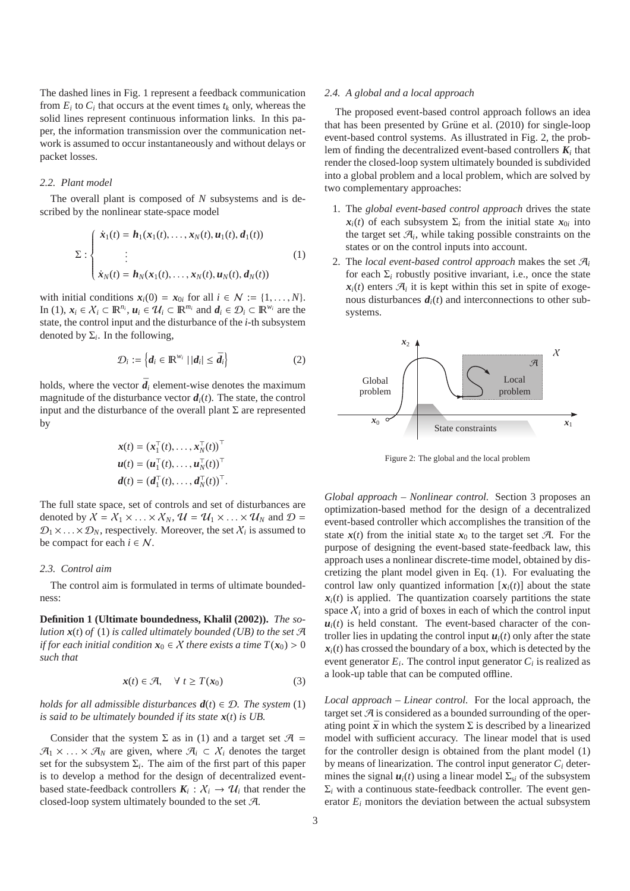The dashed lines in Fig. 1 represent a feedback communication from  $E_i$  to  $C_i$  that occurs at the event times  $t_k$  only, whereas the solid lines represent continuous information links. In this paper, the information transmission over the communication network is assumed to occur instantaneously and without delays or packet losses.

### *2.2. Plant model*

The overall plant is composed of *N* subsystems and is described by the nonlinear state-space model

$$
\Sigma: \begin{cases} \dot{x}_1(t) = h_1(x_1(t), \dots, x_N(t), u_1(t), d_1(t)) \\ \vdots \\ \dot{x}_N(t) = h_N(x_1(t), \dots, x_N(t), u_N(t), d_N(t)) \end{cases} (1)
$$

with initial conditions  $x_i(0) = x_{0i}$  for all  $i \in \mathcal{N} := \{1, \ldots, N\}.$ In (1),  $x_i \in \mathcal{X}_i \subset \mathbb{R}^{n_i}$ ,  $u_i \in \mathcal{U}_i \subset \mathbb{R}^{m_i}$  and  $d_i \in \mathcal{D}_i \subset \mathbb{R}^{w_i}$  are the state, the control input and the disturbance of the *i*-th subsystem denoted by  $\Sigma_i$ . In the following,

$$
\mathcal{D}_i := \left\{ \boldsymbol{d}_i \in \mathbb{R}^{w_i} \mid |\boldsymbol{d}_i| \leq \bar{\boldsymbol{d}}_i \right\} \tag{2}
$$

holds, where the vector  $\bar{d}_i$  element-wise denotes the maximum magnitude of the disturbance vector  $d_i(t)$ . The state, the control input and the disturbance of the overall plant  $\Sigma$  are represented by

$$
\mathbf{x}(t) = (\mathbf{x}_1^\top(t), \dots, \mathbf{x}_N^\top(t))^\top
$$
  

$$
\mathbf{u}(t) = (\mathbf{u}_1^\top(t), \dots, \mathbf{u}_N^\top(t))^\top
$$
  

$$
\mathbf{d}(t) = (\mathbf{d}_1^\top(t), \dots, \mathbf{d}_N^\top(t))^\top.
$$

The full state space, set of controls and set of disturbances are denoted by  $X = X_1 \times ... \times X_N$ ,  $\mathcal{U} = \mathcal{U}_1 \times ... \times \mathcal{U}_N$  and  $\mathcal{D} =$  $\mathcal{D}_1 \times \ldots \times \mathcal{D}_N$ , respectively. Moreover, the set  $\mathcal{X}_i$  is assumed to be compact for each  $i \in \mathcal{N}$ .

#### *2.3. Control aim*

The control aim is formulated in terms of ultimate boundedness:

**Definition 1 (Ultimate boundedness, Khalil (2002)).** *The solution*  $\mathbf{x}(t)$  *of* (1) *is called ultimately bounded* (*UB*) *to the set*  $\mathcal{A}$ *if for each initial condition*  $x_0 \in X$  *there exists a time*  $T(x_0) > 0$ *such that*

$$
\mathbf{x}(t) \in \mathcal{A}, \quad \forall \ t \ge T(\mathbf{x}_0) \tag{3}
$$

*holds for all admissible disturbances*  $d(t) \in \mathcal{D}$ . The system (1) *is said to be ultimately bounded if its state x*(*t*) *is UB.*

Consider that the system  $\Sigma$  as in (1) and a target set  $\mathcal{A}$  =  $\mathcal{A}_1 \times \ldots \times \mathcal{A}_N$  are given, where  $\mathcal{A}_i \subset \mathcal{X}_i$  denotes the target set for the subsystem  $\Sigma_i$ . The aim of the first part of this paper is to develop a method for the design of decentralized eventbased state-feedback controllers  $K_i: X_i \to U_i$  that render the closed-loop system ultimately bounded to the set  $A$ .

#### *2.4. A global and a local approach*

The proposed event-based control approach follows an idea that has been presented by Grüne et al.  $(2010)$  for single-loop event-based control systems. As illustrated in Fig. 2, the problem of finding the decentralized event-based controllers  $K_i$  that render the closed-loop system ultimately bounded is subdivided into a global problem and a local problem, which are solved by two complementary approaches:

- 1. The *global event-based control approach* drives the state  $x_i(t)$  of each subsystem  $\Sigma_i$  from the initial state  $x_{0i}$  into the target set  $\mathcal{A}_i$ , while taking possible constraints on the states or on the control inputs into account.
- 2. The *local event-based control approach* makes the set A*<sup>i</sup>* for each  $\Sigma_i$  robustly positive invariant, i.e., once the state  $x_i(t)$  enters  $\mathcal{A}_i$  it is kept within this set in spite of exogenous disturbances  $d_i(t)$  and interconnections to other subsystems.



Figure 2: The global and the local problem

*Global approach – Nonlinear control.* Section 3 proposes an optimization-based method for the design of a decentralized event-based controller which accomplishes the transition of the state  $x(t)$  from the initial state  $x_0$  to the target set A. For the purpose of designing the event-based state-feedback law, this approach uses a nonlinear discrete-time model, obtained by discretizing the plant model given in Eq. (1). For evaluating the control law only quantized information  $[x_i(t)]$  about the state  $x_i(t)$  is applied. The quantization coarsely partitions the state space  $X_i$  into a grid of boxes in each of which the control input  $u_i(t)$  is held constant. The event-based character of the controller lies in updating the control input  $u_i(t)$  only after the state  $x_i(t)$  has crossed the boundary of a box, which is detected by the event generator  $E_i$ . The control input generator  $C_i$  is realized as a look-up table that can be computed offline.

*Local approach – Linear control.* For the local approach, the target set  $A$  is considered as a bounded surrounding of the operating point  $\bar{x}$  in which the system  $\Sigma$  is described by a linearized model with sufficient accuracy. The linear model that is used for the controller design is obtained from the plant model (1) by means of linearization. The control input generator  $C_i$  determines the signal  $u_i(t)$  using a linear model  $\Sigma_{si}$  of the subsystem  $\Sigma_i$  with a continuous state-feedback controller. The event generator  $E_i$  monitors the deviation between the actual subsystem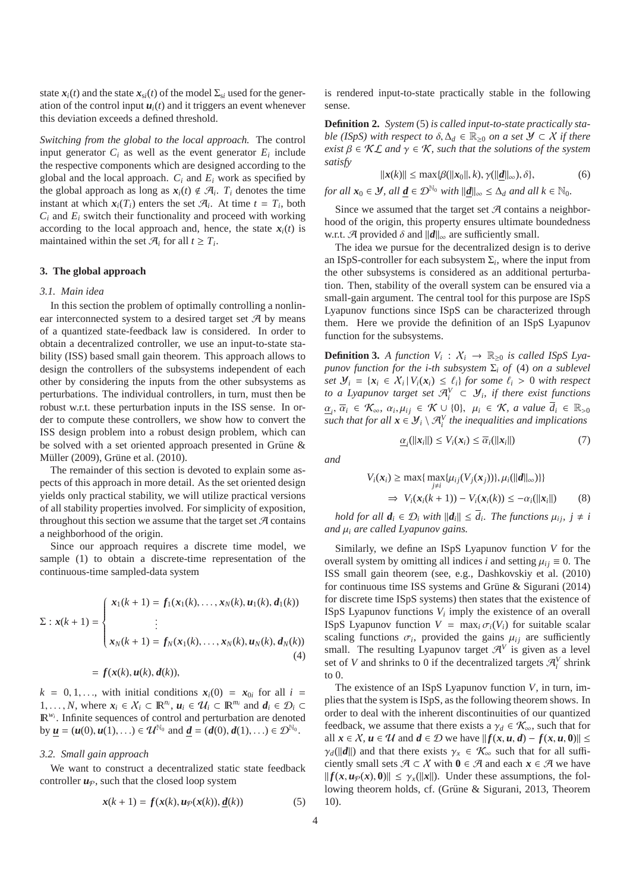state  $\mathbf{x}_i(t)$  and the state  $\mathbf{x}_{si}(t)$  of the model  $\Sigma_{si}$  used for the generation of the control input  $u_i(t)$  and it triggers an event whenever this deviation exceeds a defined threshold.

*Switching from the global to the local approach.* The control input generator  $C_i$  as well as the event generator  $E_i$  include the respective components which are designed according to the global and the local approach.  $C_i$  and  $E_i$  work as specified by the global approach as long as  $x_i(t) \notin \mathcal{A}_i$ .  $T_i$  denotes the time instant at which  $x_i(T_i)$  enters the set  $\mathcal{A}_i$ . At time  $t = T_i$ , both  $C_i$  and  $E_i$  switch their functionality and proceed with working according to the local approach and, hence, the state  $x_i(t)$  is maintained within the set  $\mathcal{A}_i$  for all  $t \geq T_i$ .

### **3. The global approach**

#### *3.1. Main idea*

In this section the problem of optimally controlling a nonlinear interconnected system to a desired target set  $A$  by means of a quantized state-feedback law is considered. In order to obtain a decentralized controller, we use an input-to-state stability (ISS) based small gain theorem. This approach allows to design the controllers of the subsystems independent of each other by considering the inputs from the other subsystems as perturbations. The individual controllers, in turn, must then be robust w.r.t. these perturbation inputs in the ISS sense. In order to compute these controllers, we show how to convert the ISS design problem into a robust design problem, which can be solved with a set oriented approach presented in Grüne  $\&$ Müller (2009), Grüne et al. (2010).

The remainder of this section is devoted to explain some aspects of this approach in more detail. As the set oriented design yields only practical stability, we will utilize practical versions of all stability properties involved. For simplicity of exposition, throughout this section we assume that the target set  $A$  contains a neighborhood of the origin.

Since our approach requires a discrete time model, we sample (1) to obtain a discrete-time representation of the continuous-time sampled-data system

$$
\Sigma: \mathbf{x}(k+1) = \begin{cases} \mathbf{x}_1(k+1) = f_1(\mathbf{x}_1(k), \dots, \mathbf{x}_N(k), \mathbf{u}_1(k), d_1(k)) \\ \vdots \\ \mathbf{x}_N(k+1) = f_N(\mathbf{x}_1(k), \dots, \mathbf{x}_N(k), \mathbf{u}_N(k), d_N(k)) \end{cases} (4)
$$

$$
= f(x(k), u(k), d(k)),
$$

 $k = 0, 1, \ldots$ , with initial conditions  $x_i(0) = x_{0i}$  for all  $i =$ 1,..., *N*, where  $x_i \in \mathcal{X}_i \subset \mathbb{R}^{n_i}$ ,  $u_i \in \mathcal{U}_i \subset \mathbb{R}^{m_i}$  and  $d_i \in \mathcal{D}_i \subset$  $\mathbb{R}^{w_i}$ . Infinite sequences of control and perturbation are denoted by  $\underline{u} = (u(0), u(1), ...) \in \mathcal{U}^{\mathbb{N}_0}$  and  $\underline{d} = (d(0), d(1), ...) \in \mathcal{D}^{\mathbb{N}_0}$ .

### *3.2. Small gain approach*

We want to construct a decentralized static state feedback controller  $u_p$ , such that the closed loop system

$$
\mathbf{x}(k+1) = \mathbf{f}(\mathbf{x}(k), \mathbf{u}_{\mathcal{P}}(\mathbf{x}(k)), \underline{\mathbf{d}}(k))
$$
 (5)

is rendered input-to-state practically stable in the following sense.

**Definition 2.** *System* (5) *is called input-to-state practically stable (ISpS) with respect to*  $\delta, \Delta_d \in \mathbb{R}_{\geq 0}$  *on a set*  $\mathcal{Y} \subset \mathcal{X}$  *if there exist*  $\beta \in \mathcal{KL}$  *and*  $\gamma \in \mathcal{K}$ *, such that the solutions of the system satisfy*

$$
||x(k)|| \le \max\{\beta(||x_0||, k), \gamma(||\underline{d}||_{\infty}), \delta\},\tag{6}
$$

*for all*  $\mathbf{x}_0 \in \mathcal{Y}$ *, all*  $\mathbf{d} \in \mathcal{D}^{\mathbb{N}_0}$  *with*  $\|\mathbf{d}\|_{\infty} \leq \Delta_d$  *and all*  $k \in \mathbb{N}_0$ *.* 

Since we assumed that the target set  $A$  contains a neighborhood of the origin, this property ensures ultimate boundedness w.r.t. A provided  $\delta$  and  $\|\boldsymbol{d}\|_{\infty}$  are sufficiently small.

The idea we pursue for the decentralized design is to derive an ISpS-controller for each subsystem  $\Sigma_i$ , where the input from the other subsystems is considered as an additional perturbation. Then, stability of the overall system can be ensured via a small-gain argument. The central tool for this purpose are ISpS Lyapunov functions since ISpS can be characterized through them. Here we provide the definition of an ISpS Lyapunov function for the subsystems.

**Definition 3.** *A function*  $V_i$  :  $X_i \rightarrow \mathbb{R}_{\geq 0}$  *is called ISpS Lyapunov function for the i-th subsystem* Σ*<sup>i</sup> of* (4) *on a sublevel set*  $\mathcal{Y}_i = \{x_i \in \mathcal{X}_i | V_i(x_i) \leq \ell_i\}$  *for some*  $\ell_i > 0$  *with respect to a Lyapunov target set*  $\mathcal{A}_i^V$   $\subset$   $\mathcal{Y}_i$ , *if there exist functions*  $\underline{\alpha}_i, \overline{\alpha}_i \in \mathcal{K}_{\infty}, \ \alpha_i, \mu_{ij} \in \mathcal{K} \cup \{0\}, \ \mu_i \in \mathcal{K}, \ a \ value \overline{d}_i \in \mathbb{R}_{>0}$ *such that for all*  $\mathbf{x} \in \mathcal{Y}_i \setminus \mathcal{A}_i^V$  *the inequalities and implications* 

$$
\underline{\alpha}_i(||\mathbf{x}_i||) \le V_i(\mathbf{x}_i) \le \overline{\alpha}_i(||\mathbf{x}_i||) \tag{7}
$$

*and*

$$
V_i(\mathbf{x}_i) \ge \max\{\max_{j \ne i} \{\mu_{ij}(V_j(\mathbf{x}_j))\}, \mu_i(\|\boldsymbol{d}\|_{\infty})\}\}\
$$
  
\n
$$
\Rightarrow V_i(\mathbf{x}_i(k+1)) - V_i(\mathbf{x}_i(k)) \le -\alpha_i(\|\mathbf{x}_i\|) \tag{8}
$$

*hold for all*  $d_i \in \mathcal{D}_i$  *with*  $||d_i|| \leq \overline{d}_i$ . The functions  $\mu_{ij}$ ,  $j \neq i$ *and* µ*<sup>i</sup> are called Lyapunov gains.*

Similarly, we define an ISpS Lyapunov function *V* for the overall system by omitting all indices *i* and setting  $\mu_{ij} \equiv 0$ . The ISS small gain theorem (see, e.g., Dashkovskiy et al. (2010) for continuous time ISS systems and Grüne  $\&$  Sigurani (2014) for discrete time ISpS systems) then states that the existence of ISpS Lyapunov functions  $V_i$  imply the existence of an overall ISpS Lyapunov function  $V = \max_i \sigma_i(V_i)$  for suitable scalar scaling functions  $\sigma_i$ , provided the gains  $\mu_{ij}$  are sufficiently small. The resulting Lyapunov target  $\mathcal{A}^V$  is given as a level set of *V* and shrinks to 0 if the decentralized targets  $\mathcal{A}_i^V$  shrink to 0.

The existence of an ISpS Lyapunov function *V*, in turn, implies that the system is ISpS, as the following theorem shows. In order to deal with the inherent discontinuities of our quantized feedback, we assume that there exists a  $\gamma_d \in \mathcal{K}_{\infty}$ , such that for all  $x \in \mathcal{X}, u \in \mathcal{U}$  and  $d \in \mathcal{D}$  we have  $||f(x, u, d) - f(x, u, 0)||$  ≤  $\gamma_d(||d||)$  and that there exists  $\gamma_x \in \mathcal{K}_{\infty}$  such that for all sufficiently small sets  $\mathcal{A} \subset \mathcal{X}$  with  $0 \in \mathcal{A}$  and each  $x \in \mathcal{A}$  we have  $|| f(x, u_{\mathcal{P}}(x), 0) || \leq \gamma_x(||x||)$ . Under these assumptions, the following theorem holds, cf. (Grüne & Sigurani, 2013, Theorem 10).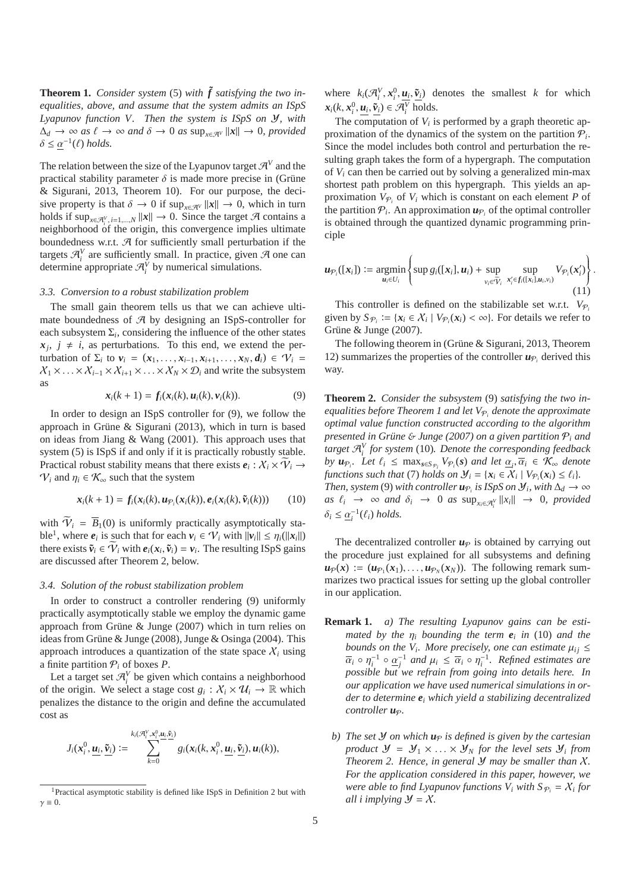**Theorem 1.** *Consider system* (5) *with*  $\tilde{f}$  *satisfying the two inequalities, above, and assume that the system admits an ISpS Lyapunov function V. Then the system is ISpS on* Y*, with*  $\Delta_d$  → ∞ *as*  $\ell$  → ∞ *and*  $\delta$  → 0 *as* sup<sub>*x*∈A</sub>*v* ||**x**|| → 0*, provided*  $\delta \leq \underline{\alpha}^{-1}(\ell)$  holds.

The relation between the size of the Lyapunov target  $\mathcal{A}^V$  and the practical stability parameter  $\delta$  is made more precise in (Grüne & Sigurani, 2013, Theorem 10). For our purpose, the decisive property is that  $\delta \to 0$  if sup<sub> $x \in \mathcal{A}^V$ </sub>  $||x|| \to 0$ , which in turn holds if  $\sup_{x \in \mathcal{A}_i^V}$ , *i*=1,...,*N* ||**x**|| → 0. Since the target  $\mathcal{A}$  contains a neighborhood of the origin, this convergence implies ultimate boundedness w.r.t. A for sufficiently small perturbation if the targets  $\mathcal{A}_i^V$  are sufficiently small. In practice, given  $\mathcal A$  one can determine appropriate  $\mathcal{A}_i^V$  by numerical simulations.

### *3.3. Conversion to a robust stabilization problem*

The small gain theorem tells us that we can achieve ultimate boundedness of  $\mathcal A$  by designing an ISpS-controller for each subsystem  $\Sigma_i$ , considering the influence of the other states  $x_j$ ,  $j \neq i$ , as perturbations. To this end, we extend the perturbation of  $\Sigma_i$  to  $v_i = (x_1, \ldots, x_{i-1}, x_{i+1}, \ldots, x_N, d_i) \in V_i$  $X_1 \times \ldots \times X_{i-1} \times X_{i+1} \times \ldots \times X_N \times \mathcal{D}_i$  and write the subsystem as

$$
\mathbf{x}_i(k+1) = \mathbf{f}_i(\mathbf{x}_i(k), \mathbf{u}_i(k), \mathbf{v}_i(k)).
$$
\n(9)

In order to design an ISpS controller for (9), we follow the approach in Grüne & Sigurani (2013), which in turn is based on ideas from Jiang & Wang (2001). This approach uses that system (5) is ISpS if and only if it is practically robustly stable. Practical robust stability means that there exists  $e_i : X_i \times Y_i \rightarrow$  $V_i$  and  $\eta_i \in \mathcal{K}_{\infty}$  such that the system

$$
\boldsymbol{x}_i(k+1) = \boldsymbol{f}_i(\boldsymbol{x}_i(k), \boldsymbol{u}_{\mathcal{P}_i}(\boldsymbol{x}_i(k)), \boldsymbol{e}_i(\boldsymbol{x}_i(k), \widetilde{\boldsymbol{v}}_i(k))) \qquad (10)
$$

with  $\widetilde{V}_i = \overline{B}_1(0)$  is uniformly practically asymptotically stable<sup>1</sup>, where  $e_i$  is such that for each  $v_i \in V_i$  with  $||v_i|| \leq \eta_i(||x_i||)$ there exists  $\tilde{v}_i \in V_i$  with  $e_i(x_i, \tilde{v}_i) = v_i$ . The resulting ISpS gains are discussed after Theorem 2, below.

#### *3.4. Solution of the robust stabilization problem*

In order to construct a controller rendering (9) uniformly practically asymptotically stable we employ the dynamic game approach from Grüne & Junge  $(2007)$  which in turn relies on ideas from Grüne & Junge (2008), Junge & Osinga (2004). This approach introduces a quantization of the state space  $X_i$  using a finite partition  $P_i$  of boxes  $P$ .

Let a target set  $\mathcal{A}_i^V$  be given which contains a neighborhood of the origin. We select a stage cost  $g_i : \mathcal{X}_i \times \mathcal{U}_i \to \mathbb{R}$  which penalizes the distance to the origin and define the accumulated cost as

$$
J_i(\mathbf{x}_i^0, \underline{\mathbf{u}}_i, \widetilde{\mathbf{v}}_i) := \sum_{k=0}^{k_i(\mathcal{R}_i^V, \mathbf{x}_i^0, \underline{\mathbf{u}}_i, \widetilde{\mathbf{v}}_i)} g_i(\mathbf{x}_i(k, \mathbf{x}_i^0, \underline{\mathbf{u}}_i, \widetilde{\mathbf{v}}_i), \underline{\mathbf{u}}_i(k)),
$$

where  $k_i(\mathcal{A}_i^V, \mathbf{x}_i^0, \underline{\mathbf{u}}_i, \tilde{\mathbf{v}}_i)$  denotes the smallest *k* for which  $x_i(k, x_i^0, \underline{u}_i, \tilde{\underline{v}}_i) \in \mathcal{A}_i^V$  holds.

The computation of  $V_i$  is performed by a graph theoretic approximation of the dynamics of the system on the partition  $P_i$ . Since the model includes both control and perturbation the resulting graph takes the form of a hypergraph. The computation of *V<sup>i</sup>* can then be carried out by solving a generalized min-max shortest path problem on this hypergraph. This yields an approximation  $V_{\mathcal{P}_i}$  of  $V_i$  which is constant on each element P of the partition  $P_i$ . An approximation  $u_{P_i}$  of the optimal controller is obtained through the quantized dynamic programming principle

$$
\boldsymbol{u}_{\mathcal{P}_i}([\boldsymbol{x}_i]):=\underset{\boldsymbol{u}_i\in U_i}{\operatorname{argmin}}\left\{\sup g_i([\boldsymbol{x}_i],\boldsymbol{u}_i)+\sup_{v_i\in\widetilde{\mathcal{V}}_i}\sup_{\boldsymbol{x}'_i\in f_i([\boldsymbol{x}_i],\boldsymbol{u}_i,v_i)}V_{\mathcal{P}_i}(\boldsymbol{x}'_i)\right\}
$$
(11)

.

This controller is defined on the stabilizable set w.r.t.  $V_{\mathcal{P}_i}$ given by  $S_{\mathcal{P}_i} := \{x_i \in \mathcal{X}_i \mid V_{\mathcal{P}_i}(x_i) < \infty\}$ . For details we refer to Grüne  $&$  Junge (2007).

The following theorem in (Grüne  $&$  Sigurani, 2013, Theorem 12) summarizes the properties of the controller  $\boldsymbol{u}_{\mathcal{P}_i}$  derived this way.

**Theorem 2.** *Consider the subsystem* (9) *satisfying the two inequalities before Theorem 1 and let V*<sup>P</sup>*<sup>i</sup> denote the approximate optimal value function constructed according to the algorithm presented in Grüne & Junge (2007) on a given partition*  $P_i$  *and target* A*<sup>V</sup> i for system* (10)*. Denote the corresponding feedback by*  $u_{\mathcal{P}_i}$ . Let  $\ell_i \leq \max_{s \in S_{\mathcal{P}_i}} V_{\mathcal{P}_i}(s)$  *and let*  $\underline{\alpha}_i, \overline{\alpha}_i \in \mathcal{K}_{\infty}$  *denote functions such that* (7) *holds on*  $\mathcal{Y}_i = \{x_i \in \mathcal{X}_i \mid V_{\mathcal{P}_i}(x_i) \leq \ell_i\}$ . *Then, system* (9) *with controller*  $u_{\mathcal{P}_i}$  *is ISpS on*  $\mathcal{Y}_i$ *, with*  $\Delta_d \to \infty$  $as \ell_i \rightarrow \infty$  *and*  $\delta_i \rightarrow 0$  *as*  $\sup_{x_i \in \mathcal{A}_i^V} ||x_i|| \rightarrow 0$ , provided  $\delta_i \leq \underline{\alpha}_i^{-1}(\ell_i)$  *holds.* 

The decentralized controller  $u_p$  is obtained by carrying out the procedure just explained for all subsystems and defining  $u_{\mathcal{P}}(x) := (u_{\mathcal{P}_1}(x_1), \dots, u_{\mathcal{P}_N}(x_N))$ . The following remark summarizes two practical issues for setting up the global controller in our application.

- **Remark 1.** *a) The resulting Lyapunov gains can be estimated by the* η*<sup>i</sup> bounding the term e<sup>i</sup> in* (10) *and the bounds on the V<sub>i</sub>. More precisely, one can estimate*  $\mu_{ij} \leq$  $\overline{\alpha}_i \circ \eta_i^{-1} \circ \underline{\alpha}_j^{-1}$  and  $\mu_i \leq \overline{\alpha}_i \circ \eta_i^{-1}$ . Refined estimates are *possible but we refrain from going into details here. In our application we have used numerical simulations in order to determine e<sup>i</sup> which yield a stabilizing decentralized controller*  $u_{\mathcal{P}}$ *.*
- *b)* The set *y* on which  $u_p$  is defined is given by the cartesian *product*  $\mathcal{Y} = \mathcal{Y}_1 \times \ldots \times \mathcal{Y}_N$  for the level sets  $\mathcal{Y}_i$  from *Theorem 2. Hence, in general* Y *may be smaller than* X*. For the application considered in this paper, however, we were able to find Lyapunov functions*  $V_i$  *with*  $S_{\mathcal{P}_i} = X_i$  *for all i implying*  $\mathcal{Y} = \mathcal{X}$ *.*

<sup>&</sup>lt;sup>1</sup>Practical asymptotic stability is defined like ISpS in Definition 2 but with  $\gamma \equiv 0.$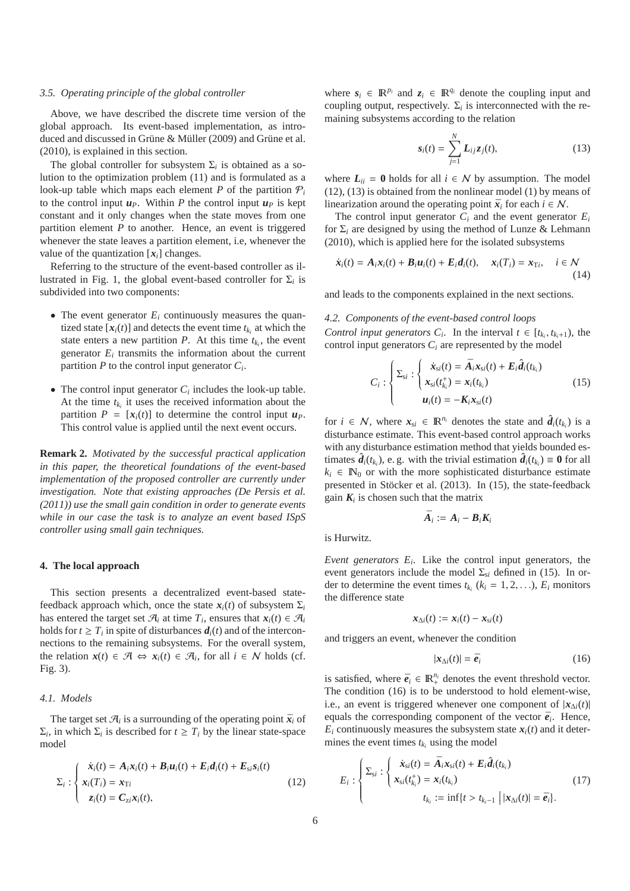#### *3.5. Operating principle of the global controller*

Above, we have described the discrete time version of the global approach. Its event-based implementation, as introduced and discussed in Grüne & Müller (2009) and Grüne et al. (2010), is explained in this section.

The global controller for subsystem  $\Sigma_i$  is obtained as a solution to the optimization problem (11) and is formulated as a look-up table which maps each element *P* of the partition  $P_i$ to the control input  $u_p$ . Within *P* the control input  $u_p$  is kept constant and it only changes when the state moves from one partition element *P* to another. Hence, an event is triggered whenever the state leaves a partition element, i.e, whenever the value of the quantization  $[x_i]$  changes.

Referring to the structure of the event-based controller as illustrated in Fig. 1, the global event-based controller for  $\Sigma_i$  is subdivided into two components:

- The event generator  $E_i$  continuously measures the quantized state  $[x_i(t)]$  and detects the event time  $t_{k_i}$  at which the state enters a new partition  $P$ . At this time  $t_{k_i}$ , the event generator  $E_i$  transmits the information about the current partition *P* to the control input generator *C<sup>i</sup>* .
- The control input generator  $C_i$  includes the look-up table. At the time  $t_{k_i}$  it uses the received information about the partition  $P = [x_i(t)]$  to determine the control input  $u_P$ . This control value is applied until the next event occurs.

**Remark 2.** *Motivated by the successful practical application in this paper, the theoretical foundations of the event-based implementation of the proposed controller are currently under investigation. Note that existing approaches (De Persis et al. (2011)) use the small gain condition in order to generate events while in our case the task is to analyze an event based ISpS controller using small gain techniques.*

#### **4. The local approach**

This section presents a decentralized event-based statefeedback approach which, once the state  $x_i(t)$  of subsystem  $\Sigma_i$ has entered the target set  $\mathcal{A}_i$  at time  $T_i$ , ensures that  $x_i(t) \in \mathcal{A}_i$ holds for  $t \geq T_i$  in spite of disturbances  $d_i(t)$  and of the interconnections to the remaining subsystems. For the overall system, the relation  $x(t) \in \mathcal{A} \Leftrightarrow x_i(t) \in \mathcal{A}_i$ , for all  $i \in \mathcal{N}$  holds (cf. Fig. 3).

#### *4.1. Models*

The target set  $\mathcal{A}_i$  is a surrounding of the operating point  $\bar{x}_i$  of  $\Sigma_i$ , in which  $\Sigma_i$  is described for  $t \geq T_i$  by the linear state-space model

$$
\Sigma_i: \begin{cases} \dot{x}_i(t) = A_i x_i(t) + B_i u_i(t) + E_i d_i(t) + E_{si} s_i(t) \\ x_i(T_i) = x_{Ti} \\ z_i(t) = C_{zi} x_i(t), \end{cases}
$$
(12)

where  $s_i \in \mathbb{R}^{p_i}$  and  $z_i \in \mathbb{R}^{q_i}$  denote the coupling input and coupling output, respectively.  $\Sigma_i$  is interconnected with the remaining subsystems according to the relation

$$
s_i(t) = \sum_{j=1}^{N} L_{ij} z_j(t),
$$
 (13)

where  $L_{ii} = 0$  holds for all  $i \in \mathcal{N}$  by assumption. The model (12), (13) is obtained from the nonlinear model (1) by means of linearization around the operating point  $\bar{x}_i$  for each  $i \in \mathcal{N}$ .

The control input generator  $C_i$  and the event generator  $E_i$ for Σ*<sup>i</sup>* are designed by using the method of Lunze & Lehmann (2010), which is applied here for the isolated subsystems

$$
\dot{\boldsymbol{x}}_i(t) = A_i \boldsymbol{x}_i(t) + B_i \boldsymbol{u}_i(t) + E_i \boldsymbol{d}_i(t), \quad \boldsymbol{x}_i(T_i) = \boldsymbol{x}_{Ti}, \quad i \in \mathcal{N}
$$
\n(14)

and leads to the components explained in the next sections.

## *4.2. Components of the event-based control loops*

*Control input generators*  $C_i$ . In the interval  $t \in [t_{k_i}, t_{k_i+1})$ , the control input generators  $C_i$  are represented by the model

$$
C_i: \begin{cases} \Sigma_{si}: \begin{cases} \dot{\mathbf{x}}_{si}(t) = \bar{A}_i \mathbf{x}_{si}(t) + \bar{E}_i \hat{d}_i(t_{k_i}) \\ \mathbf{x}_{si}(t_{k_i}^+) = \mathbf{x}_i(t_{k_i}) \end{cases} \\ u_i(t) = -\mathbf{K}_i \mathbf{x}_{si}(t) \end{cases}
$$
(15)

for  $i \in \mathcal{N}$ , where  $x_{si} \in \mathbb{R}^{n_i}$  denotes the state and  $\hat{d}_i(t_{k_i})$  is a disturbance estimate. This event-based control approach works with any disturbance estimation method that yields bounded estimates  $\hat{d}_i(t_{k_i})$ , e.g. with the trivial estimation  $\hat{d}_i(t_{k_i}) \equiv 0$  for all  $k_i \in \mathbb{N}_0$  or with the more sophisticated disturbance estimate presented in Stöcker et al. (2013). In (15), the state-feedback gain  $K_i$  is chosen such that the matrix

$$
\bar{A}_i := A_i - B_i K_i
$$

is Hurwitz.

*Event generators*  $E_i$ . Like the control input generators, the event generators include the model  $\Sigma_{si}$  defined in (15). In order to determine the event times  $t_{k_i}$  ( $k_i = 1, 2, \ldots$ ),  $E_i$  monitors the difference state

$$
\mathbf{x}_{\Delta i}(t) := \mathbf{x}_i(t) - \mathbf{x}_{si}(t)
$$

and triggers an event, whenever the condition

$$
|\mathbf{x}_{\Delta i}(t)| = \bar{\mathbf{e}}_i \tag{16}
$$

is satisfied, where  $\bar{e}_i \in \mathbb{R}^{n_i}$  denotes the event threshold vector. The condition (16) is to be understood to hold element-wise, i.e., an event is triggered whenever one component of  $|x_{\Delta i}(t)|$ equals the corresponding component of the vector  $\bar{e}_i$ . Hence,  $E_i$  continuously measures the subsystem state  $x_i(t)$  and it determines the event times  $t_{k_i}$  using the model

$$
E_i: \begin{cases} \Sigma_{si}: \begin{cases} \dot{\mathbf{x}}_{si}(t) = \bar{A}_i \mathbf{x}_{si}(t) + \mathbf{E}_i \hat{d}_i(t_{k_i}) \\ \mathbf{x}_{si}(t_{k_i}^+) = \mathbf{x}_i(t_{k_i}) \end{cases} \\ t_{k_i} := \inf\{t > t_{k_i-1} \mid |\mathbf{x}_{\Delta i}(t)| = \bar{e}_i\}. \end{cases} \tag{17}
$$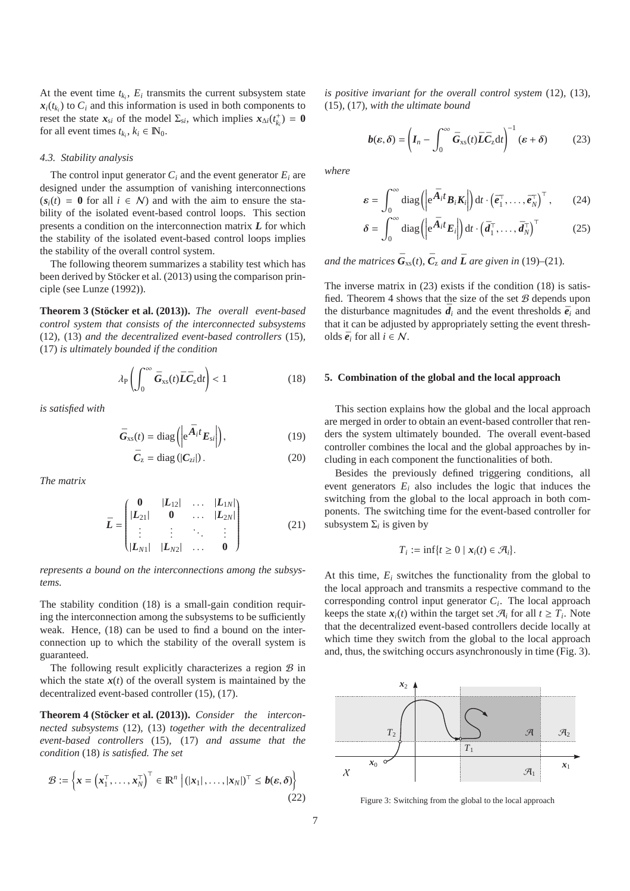At the event time  $t_{k_i}$ ,  $E_i$  transmits the current subsystem state  $x_i(t_{k_i})$  to  $C_i$  and this information is used in both components to reset the state  $x_{si}$  of the model  $\Sigma_{si}$ , which implies  $x_{\Delta i}(t_{k_i}^+) = \mathbf{0}$ for all event times  $t_{k_i}$ ,  $k_i \in \mathbb{N}_0$ .

### *4.3. Stability analysis*

The control input generator  $C_i$  and the event generator  $E_i$  are designed under the assumption of vanishing interconnections  $(s_i(t) = 0$  for all  $i \in \mathcal{N}$ ) and with the aim to ensure the stability of the isolated event-based control loops. This section presents a condition on the interconnection matrix *L* for which the stability of the isolated event-based control loops implies the stability of the overall control system.

The following theorem summarizes a stability test which has been derived by Stöcker et al. (2013) using the comparison principle (see Lunze (1992)).

**Theorem 3 (Stocker et al. (2013)). ¨** *The overall event-based control system that consists of the interconnected subsystems* (12)*,* (13) *and the decentralized event-based controllers* (15)*,* (17) *is ultimately bounded if the condition*

$$
\lambda_{\rm P}\left(\int_0^\infty \bar{G}_{\rm xs}(t)\bar{L}\bar{C}_z{\rm d}t\right) < 1\tag{18}
$$

*is satisfied with*

$$
\bar{G}_{\text{xs}}(t) = \text{diag}\left(\left|e^{\bar{A}_i t} E_{si}\right|\right),\tag{19}
$$

$$
\bar{C}_z = \text{diag}(|C_{zi}|). \tag{20}
$$

*The matrix*

$$
\bar{L} = \begin{pmatrix}\n0 & |L_{12}| & \dots & |L_{1N}| \\
|L_{21}| & 0 & \dots & |L_{2N}| \\
\vdots & \vdots & \ddots & \vdots \\
|L_{N1}| & |L_{N2}| & \dots & 0\n\end{pmatrix}
$$
\n(21)

*represents a bound on the interconnections among the subsystems.*

The stability condition (18) is a small-gain condition requiring the interconnection among the subsystems to be sufficiently weak. Hence, (18) can be used to find a bound on the interconnection up to which the stability of the overall system is guaranteed.

The following result explicitly characterizes a region  $\mathcal{B}$  in which the state  $x(t)$  of the overall system is maintained by the decentralized event-based controller (15), (17).

**Theorem 4 (Stöcker et al. (2013)).** *Consider the interconnected subsystems* (12)*,* (13) *together with the decentralized event-based controllers* (15)*,* (17) *and assume that the condition* (18) *is satisfied. The set*

$$
\mathcal{B} := \left\{ \boldsymbol{x} = \left( \boldsymbol{x}_1^\top, \ldots, \boldsymbol{x}_N^\top \right)^\top \in \mathbb{R}^n \middle| (|\boldsymbol{x}_1|, \ldots, |\boldsymbol{x}_N|)^\top \leq \boldsymbol{b}(\boldsymbol{\varepsilon}, \boldsymbol{\delta}) \right\}
$$
(22)

*is positive invariant for the overall control system* (12)*,* (13)*,* (15)*,* (17)*, with the ultimate bound*

$$
\boldsymbol{b}(\boldsymbol{\varepsilon},\boldsymbol{\delta}) = \left(\boldsymbol{I}_n - \int_0^\infty \bar{G}_{xs}(t) \bar{L}\bar{C}_z dt\right)^{-1} (\boldsymbol{\varepsilon} + \boldsymbol{\delta}) \tag{23}
$$

*where*

$$
\mathbf{\varepsilon} = \int_0^\infty \text{diag}\left(\left|e^{\bar{\mathbf{A}}_i t} \mathbf{B}_i \mathbf{K}_i\right|\right) dt \cdot \left(\bar{\mathbf{e}}_1^\top, \dots, \bar{\mathbf{e}}_N^\top\right)^\top, \qquad (24)
$$

$$
\delta = \int_0^\infty \text{diag}\left(\left|e^{\bar{\mathbf{A}}_i t} \mathbf{E}_i\right|\right) dt \cdot \left(\bar{\mathbf{d}}_1^\top, \dots, \bar{\mathbf{d}}_N^\top\right)^\top \qquad (25)
$$

$$
\delta = \int_0^{\infty} \text{diag}\left( \left| e^{A_i t} E_i \right| \right) dt \cdot \left( \bar{d}_1^{\mathrm{T}}, \dots, \bar{d}_N^{\mathrm{T}} \right) \tag{25}
$$

and the matrices  $\bar{G}_{\text{xs}}(t)$ ,  $\bar{C}_{\text{z}}$  and  $\bar{L}$  are given in (19)–(21).

The inverse matrix in (23) exists if the condition (18) is satisfied. Theorem 4 shows that the size of the set  $B$  depends upon the disturbance magnitudes  $\overline{d}_i$  and the event thresholds  $\overline{e}_i$  and that it can be adjusted by appropriately setting the event thresholds  $\bar{e}_i$  for all  $i \in \mathcal{N}$ .

### **5. Combination of the global and the local approach**

This section explains how the global and the local approach are merged in order to obtain an event-based controller that renders the system ultimately bounded. The overall event-based controller combines the local and the global approaches by including in each component the functionalities of both.

Besides the previously defined triggering conditions, all event generators  $E_i$  also includes the logic that induces the switching from the global to the local approach in both components. The switching time for the event-based controller for subsystem  $\Sigma_i$  is given by

$$
T_i := \inf\{t \geq 0 \mid x_i(t) \in \mathcal{A}_i\}.
$$

At this time,  $E_i$  switches the functionality from the global to the local approach and transmits a respective command to the corresponding control input generator  $C_i$ . The local approach keeps the state  $x_i(t)$  within the target set  $\mathcal{A}_i$  for all  $t \geq T_i$ . Note that the decentralized event-based controllers decide locally at which time they switch from the global to the local approach and, thus, the switching occurs asynchronously in time (Fig. 3).



Figure 3: Switching from the global to the local approach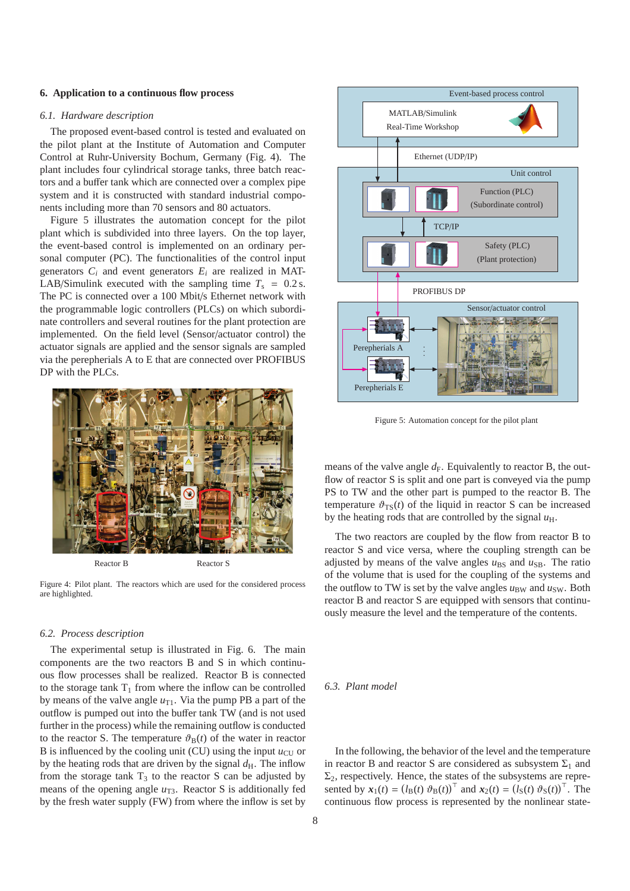#### **6. Application to a continuous flow process**

### *6.1. Hardware description*

The proposed event-based control is tested and evaluated on the pilot plant at the Institute of Automation and Computer Control at Ruhr-University Bochum, Germany (Fig. 4). The plant includes four cylindrical storage tanks, three batch reactors and a buffer tank which are connected over a complex pipe system and it is constructed with standard industrial components including more than 70 sensors and 80 actuators.

Figure 5 illustrates the automation concept for the pilot plant which is subdivided into three layers. On the top layer, the event-based control is implemented on an ordinary personal computer (PC). The functionalities of the control input generators  $C_i$  and event generators  $E_i$  are realized in MAT-LAB/Simulink executed with the sampling time  $T_s = 0.2$  s. The PC is connected over a 100 Mbit/s Ethernet network with the programmable logic controllers (PLCs) on which subordinate controllers and several routines for the plant protection are implemented. On the field level (Sensor/actuator control) the actuator signals are applied and the sensor signals are sampled via the perepherials A to E that are connected over PROFIBUS DP with the PLCs.



Figure 4: Pilot plant. The reactors which are used for the considered process are highlighted.

# *6.2. Process description*

The experimental setup is illustrated in Fig. 6. The main components are the two reactors B and S in which continuous flow processes shall be realized. Reactor B is connected to the storage tank  $T_1$  from where the inflow can be controlled by means of the valve angle  $u_{T1}$ . Via the pump PB a part of the outflow is pumped out into the buffer tank TW (and is not used further in the process) while the remaining outflow is conducted to the reactor S. The temperature  $\vartheta_{\rm B}(t)$  of the water in reactor B is influenced by the cooling unit (CU) using the input  $u_{\text{CU}}$  or by the heating rods that are driven by the signal  $d_H$ . The inflow from the storage tank  $T_3$  to the reactor S can be adjusted by means of the opening angle  $u_{T3}$ . Reactor S is additionally fed by the fresh water supply (FW) from where the inflow is set by



Figure 5: Automation concept for the pilot plant

means of the valve angle  $d_F$ . Equivalently to reactor B, the outflow of reactor S is split and one part is conveyed via the pump PS to TW and the other part is pumped to the reactor B. The temperature  $\vartheta_{TS}(t)$  of the liquid in reactor S can be increased by the heating rods that are controlled by the signal  $u_{\text{H}}$ .

The two reactors are coupled by the flow from reactor B to reactor S and vice versa, where the coupling strength can be adjusted by means of the valve angles  $u_{BS}$  and  $u_{SB}$ . The ratio of the volume that is used for the coupling of the systems and the outflow to TW is set by the valve angles  $u_{\text{RW}}$  and  $u_{\text{SW}}$ . Both reactor B and reactor S are equipped with sensors that continuously measure the level and the temperature of the contents.

### *6.3. Plant model*

In the following, the behavior of the level and the temperature in reactor B and reactor S are considered as subsystem  $\Sigma_1$  and  $\Sigma_2$ , respectively. Hence, the states of the subsystems are represented by  $\mathbf{x}_1(t) = (l_\text{B}(t) \ \vartheta_\text{B}(t))^\top$  and  $\mathbf{x}_2(t) = (l_\text{S}(t) \ \vartheta_\text{S}(t))^\top$ . The continuous flow process is represented by the nonlinear state-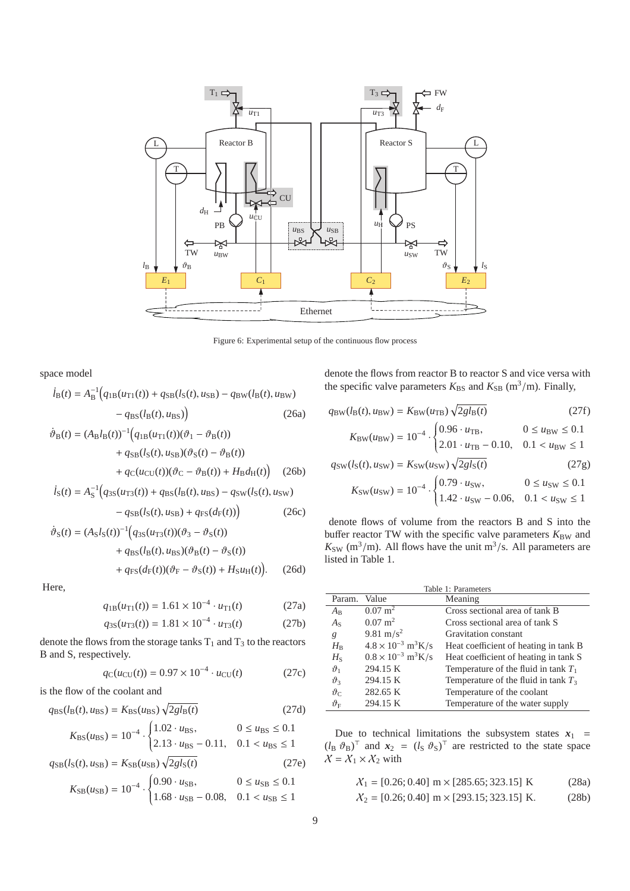

Figure 6: Experimental setup of the continuous flow process

space model

$$
\dot{l}_{\rm B}(t) = A_{\rm B}^{-1} \Big( q_{1\rm B}(u_{\rm T1}(t)) + q_{\rm SB}(l_{\rm S}(t), u_{\rm SB}) - q_{\rm BW}(l_{\rm B}(t), u_{\rm BW}) - q_{\rm BS}(l_{\rm B}(t), u_{\rm BS}) \Big) \tag{26a}
$$

$$
\dot{\vartheta}_{B}(t) = (A_{B}l_{B}(t))^{-1} (q_{1B}(u_{T1}(t))(\vartheta_{1} - \vartheta_{B}(t)) \n+ q_{SB}(l_{S}(t), u_{SB})(\vartheta_{S}(t) - \vartheta_{B}(t)) \n+ q_{C}(u_{CU}(t))(\vartheta_{C} - \vartheta_{B}(t)) + H_{B}d_{H}(t) \qquad (26b)
$$

$$
\dot{l}_{S}(t) = A_{S}^{-1} \Big( q_{3S}(u_{T3}(t)) + q_{BS}(l_{B}(t), u_{BS}) - q_{SW}(l_{S}(t), u_{SW}) - q_{SB}(l_{S}(t), u_{SB}) + q_{FS}(d_{F}(t)) \Big) \tag{26c}
$$

$$
\dot{\vartheta}_{S}(t) = (A_{S}l_{S}(t))^{-1} (q_{3S}(u_{T3}(t))(\vartheta_{3} - \vartheta_{S}(t)) \n+ q_{BS}(l_{B}(t), u_{BS})(\vartheta_{B}(t) - \vartheta_{S}(t)) \n+ q_{FS}(d_{F}(t))(\vartheta_{F} - \vartheta_{S}(t)) + H_{S}u_{H}(t)).
$$
\n(26d)

Here,

$$
q_{1B}(u_{T1}(t)) = 1.61 \times 10^{-4} \cdot u_{T1}(t) \tag{27a}
$$

$$
q_{3S}(u_{T3}(t)) = 1.81 \times 10^{-4} \cdot u_{T3}(t) \tag{27b}
$$

denote the flows from the storage tanks  $T_1$  and  $T_3$  to the reactors B and S, respectively.

$$
q_{\rm C}(u_{\rm CU}(t)) = 0.97 \times 10^{-4} \cdot u_{\rm CU}(t) \tag{27c}
$$

is the flow of the coolant and

$$
q_{\rm BS}(l_{\rm B}(t), u_{\rm BS}) = K_{\rm BS}(u_{\rm BS})\sqrt{2gl_{\rm B}(t)}
$$
(27d)

$$
K_{\rm BS}(u_{\rm BS}) = 10^{-4} \cdot \begin{cases} 1.02 \cdot u_{\rm BS}, & 0 \le u_{\rm BS} \le 0.1 \\ 2.13 \cdot u_{\rm BS} - 0.11, & 0.1 < u_{\rm BS} \le 1 \end{cases}
$$

$$
q_{SB}(l_S(t), u_{SB}) = K_{SB}(u_{SB}) \sqrt{2gl_S(t)}
$$
(27e)  

$$
\int (0.90 \, \text{J/m}) \, dS = 0.1 \times 10^{-6} \text{ J}
$$

$$
K_{\rm SB}(u_{\rm SB}) = 10^{-4} \cdot \begin{cases} 0.90 \cdot u_{\rm SB}, & 0 \le u_{\rm SB} \le 0.1 \\ 1.68 \cdot u_{\rm SB} - 0.08, & 0.1 < u_{\rm SB} \le 1 \end{cases}
$$

denote the flows from reactor B to reactor S and vice versa with the specific valve parameters  $K_{\text{BS}}$  and  $K_{\text{SB}}$  (m<sup>3</sup>/m). Finally,

$$
q_{\rm BW}(l_{\rm B}(t), u_{\rm BW}) = K_{\rm BW}(u_{\rm TB}) \sqrt{2gl_{\rm B}(t)} \tag{27f}
$$

$$
K_{\rm BW}(u_{\rm BW}) = 10^{-4} \cdot \begin{cases} 0.96 \cdot u_{\rm TB}, & 0 \le u_{\rm BW} \le 0.1 \\ 2.01 \cdot u_{\rm TB} - 0.10, & 0.1 < u_{\rm BW} \le 1 \end{cases}
$$

$$
q_{\rm SW}(l_{\rm S}(t), u_{\rm SW}) = K_{\rm SW}(u_{\rm SW})\sqrt{2gl_{\rm S}(t)}\tag{27g}
$$

$$
K_{\rm SW}(u_{\rm SW}) = 10^{-4} \cdot \begin{cases} 0.79 \cdot u_{\rm SW}, & 0 \le u_{\rm SW} \le 0.1\\ 1.42 \cdot u_{\rm SW} - 0.06, & 0.1 < u_{\rm SW} \le 1 \end{cases}
$$

denote flows of volume from the reactors B and S into the buffer reactor TW with the specific valve parameters  $K_{BW}$  and  $K_{SW}$  (m<sup>3</sup>/m). All flows have the unit m<sup>3</sup>/s. All parameters are listed in Table 1.

| Table 1: Parameters      |                                             |                                        |
|--------------------------|---------------------------------------------|----------------------------------------|
| Param.                   | Value                                       | Meaning                                |
| $A_{\rm B}$              | $0.07 \; \mathrm{m}^2$                      | Cross sectional area of tank B         |
| $A_{\rm S}$              | $0.07 \; \mathrm{m}^2$                      | Cross sectional area of tank S         |
| g                        | 9.81 m/s <sup>2</sup>                       | Gravitation constant                   |
| $H_{\rm R}$              | $4.8 \times 10^{-3}$ m <sup>3</sup> K/s     | Heat coefficient of heating in tank B  |
| $H_{S}$                  | $0.8 \times 10^{-3} \text{ m}^3 \text{K/s}$ | Heat coefficient of heating in tank S  |
| $\vartheta_1$            | 294.15 K                                    | Temperature of the fluid in tank $T_1$ |
| $\vartheta$ <sub>3</sub> | 294.15 K                                    | Temperature of the fluid in tank $T_3$ |
| $\vartheta_{C}$          | 282.65 K                                    | Temperature of the coolant             |
| $\vartheta_{\rm F}$      | 294.15 K                                    | Temperature of the water supply        |

Due to technical limitations the subsystem states  $x_1$  =  $(l_B \theta_B)^{\top}$  and  $x_2 = (l_S \theta_S)^{\top}$  are restricted to the state space  $X = X_1 \times X_2$  with

$$
\mathcal{X}_1 = [0.26; 0.40] \, \text{m} \times [285.65; 323.15] \, \text{K} \tag{28a}
$$

$$
\mathcal{X}_2 = [0.26; 0.40] \text{ m} \times [293.15; 323.15] \text{ K.}
$$
 (28b)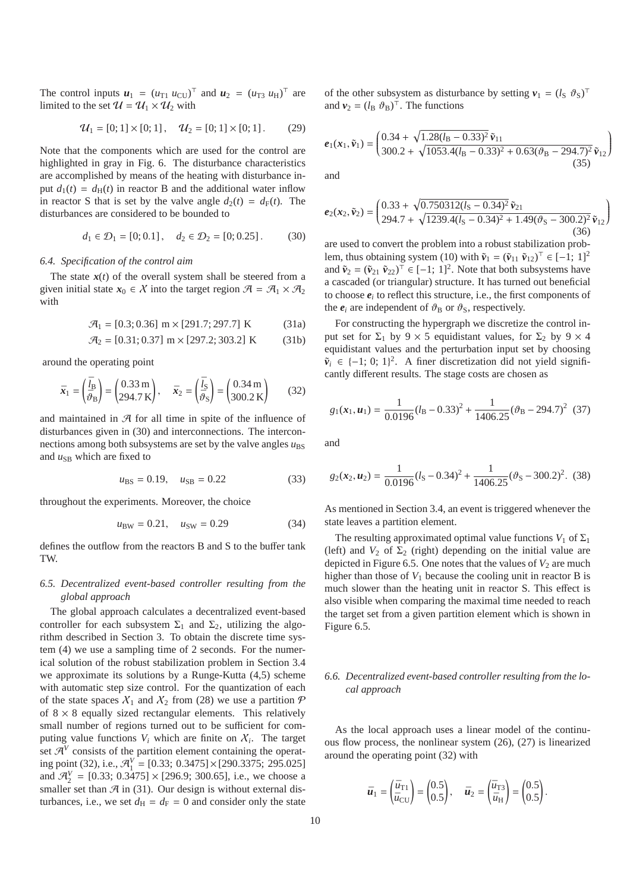The control inputs  $u_1 = (u_{\text{T1}} u_{\text{CU}})^{\top}$  and  $u_2 = (u_{\text{T3}} u_{\text{H}})^{\top}$  are limited to the set  $\mathcal{U} = \mathcal{U}_1 \times \mathcal{U}_2$  with

$$
\mathcal{U}_1 = [0; 1] \times [0; 1], \quad \mathcal{U}_2 = [0; 1] \times [0; 1]. \tag{29}
$$

Note that the components which are used for the control are highlighted in gray in Fig. 6. The disturbance characteristics are accomplished by means of the heating with disturbance input  $d_1(t) = d_H(t)$  in reactor B and the additional water inflow in reactor S that is set by the valve angle  $d_2(t) = d_F(t)$ . The disturbances are considered to be bounded to

$$
d_1 \in \mathcal{D}_1 = [0; 0.1], \quad d_2 \in \mathcal{D}_2 = [0; 0.25].
$$
 (30)

### *6.4. Specification of the control aim*

The state  $x(t)$  of the overall system shall be steered from a given initial state  $x_0 \in \mathcal{X}$  into the target region  $\mathcal{A} = \mathcal{A}_1 \times \mathcal{A}_2$ with

$$
\mathcal{A}_1 = [0.3; 0.36] \text{ m} \times [291.7; 297.7] \text{ K} \tag{31a}
$$

$$
\mathcal{A}_2 = [0.31; 0.37] \text{ m} \times [297.2; 303.2] \text{ K} \tag{31b}
$$

around the operating point

$$
\bar{\boldsymbol{x}}_1 = \begin{pmatrix} \bar{l}_B \\ \bar{\boldsymbol{\vartheta}}_B \end{pmatrix} = \begin{pmatrix} 0.33 \text{ m} \\ 294.7 \text{ K} \end{pmatrix}, \quad \bar{\boldsymbol{x}}_2 = \begin{pmatrix} \bar{l}_S \\ \bar{\boldsymbol{\vartheta}}_S \end{pmatrix} = \begin{pmatrix} 0.34 \text{ m} \\ 300.2 \text{ K} \end{pmatrix} \tag{32}
$$

and maintained in  $\mathcal A$  for all time in spite of the influence of disturbances given in (30) and interconnections. The interconnections among both subsystems are set by the valve angles  $u_{BS}$ and  $u_{SB}$  which are fixed to

$$
u_{\rm BS} = 0.19, \quad u_{\rm SB} = 0.22 \tag{33}
$$

throughout the experiments. Moreover, the choice

$$
u_{\rm BW} = 0.21, \quad u_{\rm SW} = 0.29 \tag{34}
$$

defines the outflow from the reactors B and S to the buffer tank TW.

# *6.5. Decentralized event-based controller resulting from the global approach*

The global approach calculates a decentralized event-based controller for each subsystem  $\Sigma_1$  and  $\Sigma_2$ , utilizing the algorithm described in Section 3. To obtain the discrete time system (4) we use a sampling time of 2 seconds. For the numerical solution of the robust stabilization problem in Section 3.4 we approximate its solutions by a Runge-Kutta (4,5) scheme with automatic step size control. For the quantization of each of the state spaces  $X_1$  and  $X_2$  from (28) we use a partition  $\mathcal P$ of  $8 \times 8$  equally sized rectangular elements. This relatively small number of regions turned out to be sufficient for computing value functions  $V_i$  which are finite on  $X_i$ . The target set  $\mathcal{A}^V$  consists of the partition element containing the operating point (32), i.e.,  $\mathcal{A}_{1}^{V} = [0.33; 0.3475] \times [290.3375; 295.025]$ and  $\mathcal{A}_2^V = [0.33; 0.3475] \times [296.9; 300.65]$ , i.e., we choose a smaller set than  $\mathcal{A}$  in (31). Our design is without external disturbances, i.e., we set  $d_H = d_F = 0$  and consider only the state

of the other subsystem as disturbance by setting  $v_1 = (l_S \ \vartheta_S)^{\top}$ and  $v_2 = (l_B \, \vartheta_B)^{\top}$ . The functions

$$
e_1(x_1, \tilde{v}_1) = \begin{pmatrix} 0.34 + \sqrt{1.28(l_B - 0.33)^2} \, \tilde{v}_{11} \\ 300.2 + \sqrt{1053.4(l_B - 0.33)^2 + 0.63(\vartheta_B - 294.7)^2} \, \tilde{v}_{12} \end{pmatrix} \tag{35}
$$

and

$$
\boldsymbol{e}_{2}(\boldsymbol{x}_{2},\tilde{\boldsymbol{v}}_{2}) = \begin{pmatrix} 0.33 + \sqrt{0.750312(l_{\mathrm{S}} - 0.34)^{2}} \, \tilde{\boldsymbol{v}}_{21} \\ 294.7 + \sqrt{1239.4(l_{\mathrm{S}} - 0.34)^{2} + 1.49(\vartheta_{\mathrm{S}} - 300.2)^{2}} \, \tilde{\boldsymbol{v}}_{12} \end{pmatrix}
$$
\n(36)

are used to convert the problem into a robust stabilization problem, thus obtaining system (10) with  $\tilde{v}_1 = (\tilde{v}_{11} \tilde{v}_{12})^\top \in [-1; 1]^2$ and  $\tilde{v}_2 = (\tilde{v}_{21} \tilde{v}_{22})^\top \in [-1; 1]^2$ . Note that both subsystems have a cascaded (or triangular) structure. It has turned out beneficial to choose  $e_i$  to reflect this structure, i.e., the first components of the  $e_i$  are independent of  $\vartheta_B$  or  $\vartheta_S$ , respectively.

For constructing the hypergraph we discretize the control input set for  $\Sigma_1$  by 9 × 5 equidistant values, for  $\Sigma_2$  by 9 × 4 equidistant values and the perturbation input set by choosing  $\tilde{v}_i \in \{-1; 0; 1\}^2$ . A finer discretization did not yield significantly different results. The stage costs are chosen as

$$
g_1(\mathbf{x}_1, \mathbf{u}_1) = \frac{1}{0.0196} (l_B - 0.33)^2 + \frac{1}{1406.25} (\vartheta_B - 294.7)^2
$$
 (37)

and

$$
g_2(x_2, u_2) = \frac{1}{0.0196} (I_S - 0.34)^2 + \frac{1}{1406.25} (\vartheta_S - 300.2)^2.
$$
 (38)

As mentioned in Section 3.4, an event is triggered whenever the state leaves a partition element.

The resulting approximated optimal value functions  $V_1$  of  $\Sigma_1$ (left) and  $V_2$  of  $\Sigma_2$  (right) depending on the initial value are depicted in Figure 6.5. One notes that the values of  $V_2$  are much higher than those of  $V_1$  because the cooling unit in reactor  $\bf{B}$  is much slower than the heating unit in reactor S. This effect is also visible when comparing the maximal time needed to reach the target set from a given partition element which is shown in Figure 6.5.

# *6.6. Decentralized event-based controller resulting from the local approach*

As the local approach uses a linear model of the continuous flow process, the nonlinear system (26), (27) is linearized around the operating point (32) with

$$
\bar{u}_1 = \begin{pmatrix} \bar{u}_{\text{TI}} \\ \bar{u}_{\text{CU}} \end{pmatrix} = \begin{pmatrix} 0.5 \\ 0.5 \end{pmatrix}, \quad \bar{u}_2 = \begin{pmatrix} \bar{u}_{\text{TS}} \\ \bar{u}_{\text{H}} \end{pmatrix} = \begin{pmatrix} 0.5 \\ 0.5 \end{pmatrix}.
$$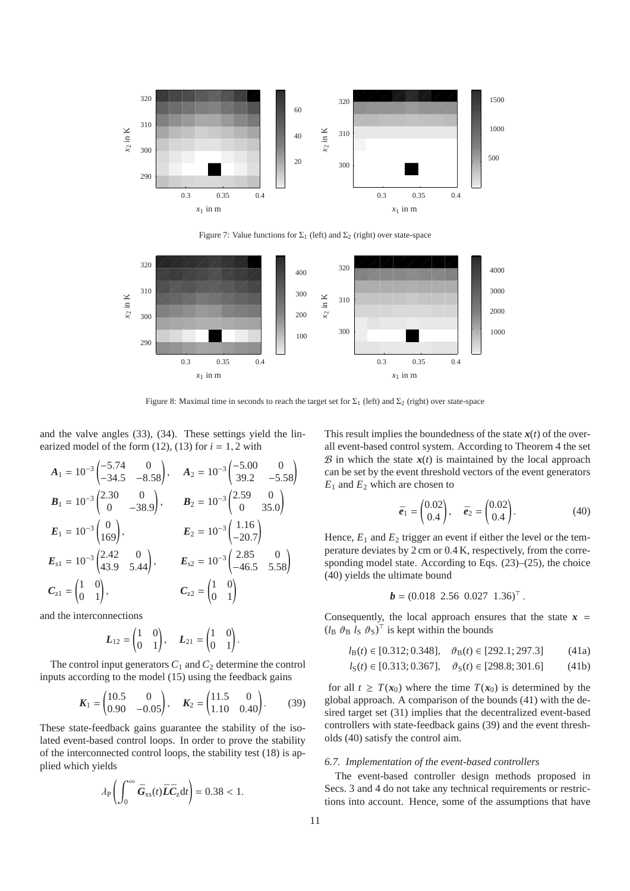

Figure 7: Value functions for  $\Sigma_1$  (left) and  $\Sigma_2$  (right) over state-space



Figure 8: Maximal time in seconds to reach the target set for  $\Sigma_1$  (left) and  $\Sigma_2$  (right) over state-space

and the valve angles (33), (34). These settings yield the linearized model of the form  $(12)$ ,  $(13)$  for  $i = 1, 2$  with

$$
A_1 = 10^{-3} \begin{pmatrix} -5.74 & 0 \\ -34.5 & -8.58 \end{pmatrix}, \quad A_2 = 10^{-3} \begin{pmatrix} -5.00 & 0 \\ 39.2 & -5.58 \end{pmatrix}
$$
  
\n
$$
B_1 = 10^{-3} \begin{pmatrix} 2.30 & 0 \\ 0 & -38.9 \end{pmatrix}, \quad B_2 = 10^{-3} \begin{pmatrix} 2.59 & 0 \\ 0 & 35.0 \end{pmatrix}
$$
  
\n
$$
E_1 = 10^{-3} \begin{pmatrix} 0 \\ 169 \end{pmatrix}, \quad E_2 = 10^{-3} \begin{pmatrix} 1.16 \\ -20.7 \end{pmatrix}
$$
  
\n
$$
E_{s1} = 10^{-3} \begin{pmatrix} 2.42 & 0 \\ 43.9 & 5.44 \end{pmatrix}, \quad E_{s2} = 10^{-3} \begin{pmatrix} 2.85 & 0 \\ -46.5 & 5.58 \end{pmatrix}
$$
  
\n
$$
C_{z1} = \begin{pmatrix} 1 & 0 \\ 0 & 1 \end{pmatrix}, \quad C_{z2} = \begin{pmatrix} 1 & 0 \\ 0 & 1 \end{pmatrix}
$$

and the interconnections

$$
L_{12} = \begin{pmatrix} 1 & 0 \\ 0 & 1 \end{pmatrix}, \quad L_{21} = \begin{pmatrix} 1 & 0 \\ 0 & 1 \end{pmatrix}.
$$

The control input generators  $C_1$  and  $C_2$  determine the control inputs according to the model (15) using the feedback gains

$$
\mathbf{K}_1 = \begin{pmatrix} 10.5 & 0 \\ 0.90 & -0.05 \end{pmatrix}, \quad \mathbf{K}_2 = \begin{pmatrix} 11.5 & 0 \\ 1.10 & 0.40 \end{pmatrix}.
$$
 (39)

These state-feedback gains guarantee the stability of the isolated event-based control loops. In order to prove the stability of the interconnected control loops, the stability test (18) is applied which yields

$$
\lambda_{\rm P}\bigg(\int_0^\infty \bar{G}_{\rm xs}(t)\bar{L}\bar{C}_z{\rm d}t\bigg)=0.38<1.
$$

This result implies the boundedness of the state *x*(*t*) of the overall event-based control system. According to Theorem 4 the set  $B$  in which the state  $x(t)$  is maintained by the local approach can be set by the event threshold vectors of the event generators  $E_1$  and  $E_2$  which are chosen to

$$
\bar{e}_1 = \begin{pmatrix} 0.02 \\ 0.4 \end{pmatrix}, \quad \bar{e}_2 = \begin{pmatrix} 0.02 \\ 0.4 \end{pmatrix}.
$$
 (40)

Hence,  $E_1$  and  $E_2$  trigger an event if either the level or the temperature deviates by 2 cm or 0.4 K, respectively, from the corresponding model state. According to Eqs. (23)–(25), the choice (40) yields the ultimate bound

$$
\mathbf{b} = (0.018 \ 2.56 \ 0.027 \ 1.36)^{\top}.
$$

Consequently, the local approach ensures that the state  $x =$  $(l_B \theta_B l_S \theta_S)^{\top}$  is kept within the bounds

$$
l_{\mathcal{B}}(t) \in [0.312; 0.348], \quad \vartheta_{\mathcal{B}}(t) \in [292.1; 297.3] \tag{41a}
$$

$$
l_S(t) \in [0.313; 0.367], \quad \vartheta_S(t) \in [298.8; 301.6]
$$
 (41b)

for all  $t \geq T(x_0)$  where the time  $T(x_0)$  is determined by the global approach. A comparison of the bounds (41) with the desired target set (31) implies that the decentralized event-based controllers with state-feedback gains (39) and the event thresholds (40) satisfy the control aim.

#### *6.7. Implementation of the event-based controllers*

The event-based controller design methods proposed in Secs. 3 and 4 do not take any technical requirements or restrictions into account. Hence, some of the assumptions that have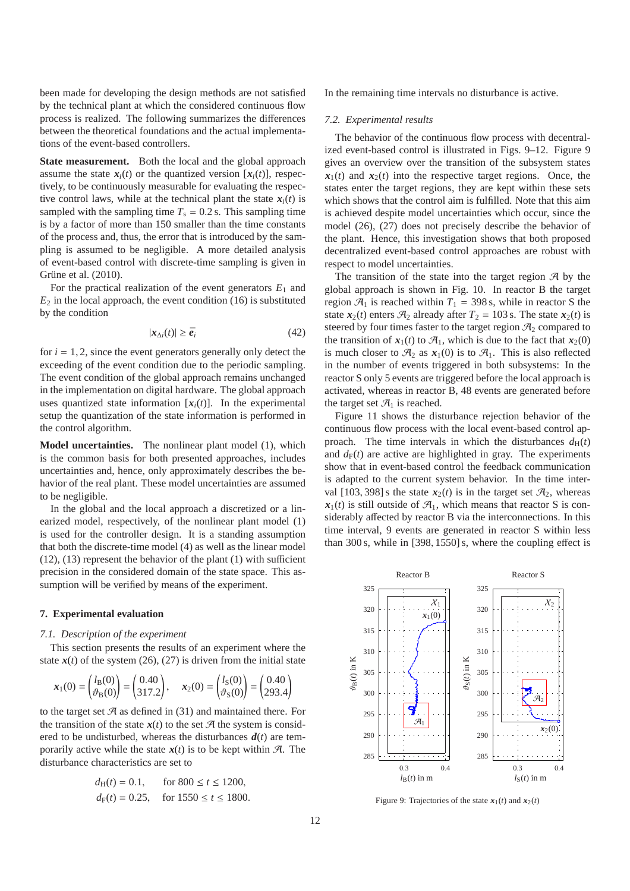been made for developing the design methods are not satisfied by the technical plant at which the considered continuous flow process is realized. The following summarizes the differences between the theoretical foundations and the actual implementations of the event-based controllers.

**State measurement.** Both the local and the global approach assume the state  $x_i(t)$  or the quantized version  $[x_i(t)]$ , respectively, to be continuously measurable for evaluating the respective control laws, while at the technical plant the state  $x_i(t)$  is sampled with the sampling time  $T_s = 0.2$  s. This sampling time is by a factor of more than 150 smaller than the time constants of the process and, thus, the error that is introduced by the sampling is assumed to be negligible. A more detailed analysis of event-based control with discrete-time sampling is given in Grüne et al. (2010).

For the practical realization of the event generators  $E_1$  and  $E_2$  in the local approach, the event condition (16) is substituted by the condition

$$
|\mathbf{x}_{\Delta i}(t)| \ge \bar{e}_i \tag{42}
$$

for  $i = 1, 2$ , since the event generators generally only detect the exceeding of the event condition due to the periodic sampling. The event condition of the global approach remains unchanged in the implementation on digital hardware. The global approach uses quantized state information  $[x_i(t)]$ . In the experimental setup the quantization of the state information is performed in the control algorithm.

**Model uncertainties.** The nonlinear plant model (1), which is the common basis for both presented approaches, includes uncertainties and, hence, only approximately describes the behavior of the real plant. These model uncertainties are assumed to be negligible.

In the global and the local approach a discretized or a linearized model, respectively, of the nonlinear plant model (1) is used for the controller design. It is a standing assumption that both the discrete-time model (4) as well as the linear model (12), (13) represent the behavior of the plant (1) with sufficient precision in the considered domain of the state space. This assumption will be verified by means of the experiment.

### **7. Experimental evaluation**

#### *7.1. Description of the experiment*

This section presents the results of an experiment where the state  $x(t)$  of the system (26), (27) is driven from the initial state

$$
x_1(0) = \begin{pmatrix} l_{\text{B}}(0) \\ \vartheta_{\text{B}}(0) \end{pmatrix} = \begin{pmatrix} 0.40 \\ 317.2 \end{pmatrix}, \quad x_2(0) = \begin{pmatrix} l_{\text{S}}(0) \\ \vartheta_{\text{S}}(0) \end{pmatrix} = \begin{pmatrix} 0.40 \\ 293.4 \end{pmatrix}
$$

to the target set  $\mathcal A$  as defined in (31) and maintained there. For the transition of the state  $x(t)$  to the set  $\mathcal A$  the system is considered to be undisturbed, whereas the disturbances  $d(t)$  are temporarily active while the state  $x(t)$  is to be kept within  $\mathcal{A}$ . The disturbance characteristics are set to

$$
d_{\text{H}}(t) = 0.1, \quad \text{for } 800 \le t \le 1200,
$$
  

$$
d_{\text{F}}(t) = 0.25, \quad \text{for } 1550 \le t \le 1800.
$$

In the remaining time intervals no disturbance is active.

### *7.2. Experimental results*

The behavior of the continuous flow process with decentralized event-based control is illustrated in Figs. 9–12. Figure 9 gives an overview over the transition of the subsystem states  $x_1(t)$  and  $x_2(t)$  into the respective target regions. Once, the states enter the target regions, they are kept within these sets which shows that the control aim is fulfilled. Note that this aim is achieved despite model uncertainties which occur, since the model (26), (27) does not precisely describe the behavior of the plant. Hence, this investigation shows that both proposed decentralized event-based control approaches are robust with respect to model uncertainties.

The transition of the state into the target region  $\mathcal A$  by the global approach is shown in Fig. 10. In reactor B the target region  $\mathcal{A}_1$  is reached within  $T_1 = 398$  s, while in reactor S the state  $x_2(t)$  enters  $\mathcal{A}_2$  already after  $T_2 = 103$  s. The state  $x_2(t)$  is steered by four times faster to the target region  $\mathcal{A}_2$  compared to the transition of  $x_1(t)$  to  $\mathcal{A}_1$ , which is due to the fact that  $x_2(0)$ is much closer to  $\mathcal{A}_2$  as  $x_1(0)$  is to  $\mathcal{A}_1$ . This is also reflected in the number of events triggered in both subsystems: In the reactor S only 5 events are triggered before the local approach is activated, whereas in reactor B, 48 events are generated before the target set  $\mathcal{A}_1$  is reached.

Figure 11 shows the disturbance rejection behavior of the continuous flow process with the local event-based control approach. The time intervals in which the disturbances  $d_H(t)$ and  $d_F(t)$  are active are highlighted in gray. The experiments show that in event-based control the feedback communication is adapted to the current system behavior. In the time interval [103, 398] s the state  $x_2(t)$  is in the target set  $\mathcal{A}_2$ , whereas  $x_1(t)$  is still outside of  $\mathcal{A}_1$ , which means that reactor S is considerably affected by reactor B via the interconnections. In this time interval, 9 events are generated in reactor S within less than 300 s, while in [398, 1550] s, where the coupling effect is



Figure 9: Trajectories of the state  $x_1(t)$  and  $x_2(t)$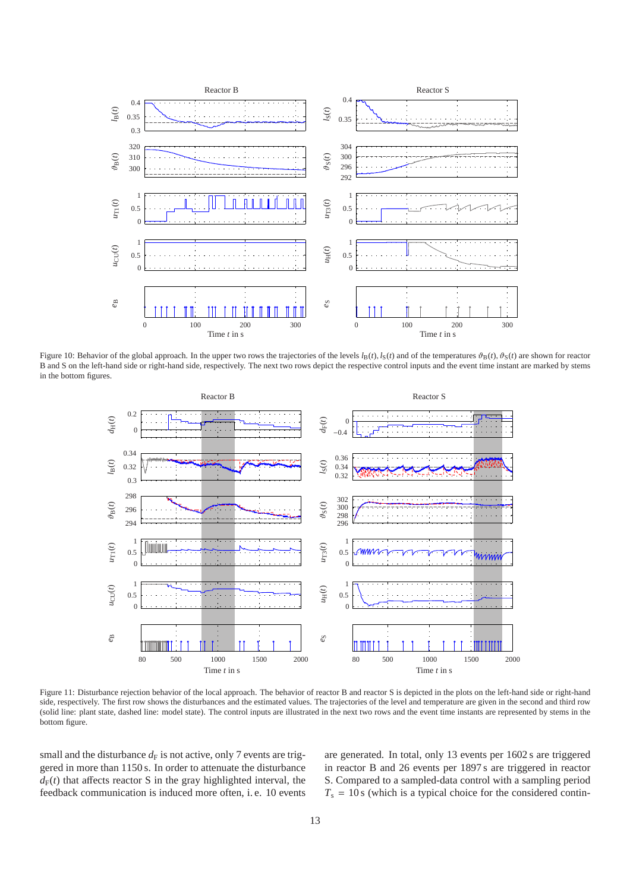

Figure 10: Behavior of the global approach. In the upper two rows the trajectories of the levels  $l_B(t)$ ,  $l_S(t)$  and of the temperatures  $\vartheta_B(t)$ ,  $\vartheta_S(t)$  are shown for reactor B and S on the left-hand side or right-hand side, respectively. The next two rows depict the respective control inputs and the event time instant are marked by stems in the bottom figures.



Figure 11: Disturbance rejection behavior of the local approach. The behavior of reactor B and reactor S is depicted in the plots on the left-hand side or right-hand side, respectively. The first row shows the disturbances and the estimated values. The trajectories of the level and temperature are given in the second and third row (solid line: plant state, dashed line: model state). The control inputs are illustrated in the next two rows and the event time instants are represented by stems in the bottom figure.

small and the disturbance  $d_F$  is not active, only 7 events are triggered in more than 1150 s. In order to attenuate the disturbance  $d_F(t)$  that affects reactor S in the gray highlighted interval, the feedback communication is induced more often, i. e. 10 events are generated. In total, only 13 events per 1602 s are triggered in reactor B and 26 events per 1897 s are triggered in reactor S. Compared to a sampled-data control with a sampling period  $T_s = 10$  s (which is a typical choice for the considered contin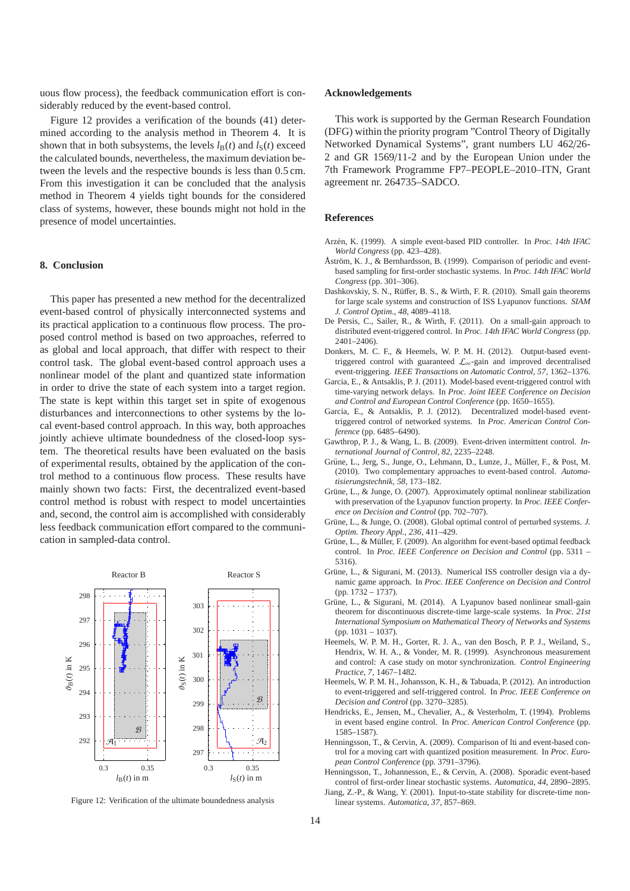uous flow process), the feedback communication effort is considerably reduced by the event-based control.

Figure 12 provides a verification of the bounds (41) determined according to the analysis method in Theorem 4. It is shown that in both subsystems, the levels  $l_B(t)$  and  $l_S(t)$  exceed the calculated bounds, nevertheless, the maximum deviation between the levels and the respective bounds is less than 0.5 cm. From this investigation it can be concluded that the analysis method in Theorem 4 yields tight bounds for the considered class of systems, however, these bounds might not hold in the presence of model uncertainties.

### **8. Conclusion**

This paper has presented a new method for the decentralized event-based control of physically interconnected systems and its practical application to a continuous flow process. The proposed control method is based on two approaches, referred to as global and local approach, that differ with respect to their control task. The global event-based control approach uses a nonlinear model of the plant and quantized state information in order to drive the state of each system into a target region. The state is kept within this target set in spite of exogenous disturbances and interconnections to other systems by the local event-based control approach. In this way, both approaches jointly achieve ultimate boundedness of the closed-loop system. The theoretical results have been evaluated on the basis of experimental results, obtained by the application of the control method to a continuous flow process. These results have mainly shown two facts: First, the decentralized event-based control method is robust with respect to model uncertainties and, second, the control aim is accomplished with considerably less feedback communication effort compared to the communication in sampled-data control.



Figure 12: Verification of the ultimate boundedness analysis

#### **Acknowledgements**

This work is supported by the German Research Foundation (DFG) within the priority program "Control Theory of Digitally Networked Dynamical Systems", grant numbers LU 462/26- 2 and GR 1569/11-2 and by the European Union under the 7th Framework Programme FP7–PEOPLE–2010–ITN, Grant agreement nr. 264735–SADCO.

### **References**

- Arzén, K. (1999). A simple event-based PID controller. In *Proc. 14th IFAC World Congress* (pp. 423–428).
- Åström, K. J., & Bernhardsson, B. (1999). Comparison of periodic and eventbased sampling for first-order stochastic systems. In *Proc. 14th IFAC World Congress* (pp. 301–306).
- Dashkovskiy, S. N., Rüffer, B. S., & Wirth, F. R. (2010). Small gain theorems for large scale systems and construction of ISS Lyapunov functions. *SIAM J. Control Optim.*, *48*, 4089–4118.
- De Persis, C., Sailer, R., & Wirth, F. (2011). On a small-gain approach to distributed event-triggered control. In *Proc. 14th IFAC World Congress* (pp. 2401–2406).
- Donkers, M. C. F., & Heemels, W. P. M. H. (2012). Output-based eventtriggered control with guaranteed L∞-gain and improved decentralised event-triggering. *IEEE Transactions on Automatic Control*, *57*, 1362–1376.
- Garcia, E., & Antsaklis, P. J. (2011). Model-based event-triggered control with time-varying network delays. In *Proc. Joint IEEE Conference on Decision and Control and European Control Conference* (pp. 1650–1655).
- Garcia, E., & Antsaklis, P. J. (2012). Decentralized model-based eventtriggered control of networked systems. In *Proc. American Control Conference* (pp. 6485–6490).
- Gawthrop, P. J., & Wang, L. B. (2009). Event-driven intermittent control. *International Journal of Control*, *82*, 2235–2248.
- Grüne, L., Jerg, S., Junge, O., Lehmann, D., Lunze, J., Müller, F., & Post, M. (2010). Two complementary approaches to event-based control. *Automatisierungstechnik*, *58*, 173–182.
- Grüne, L., & Junge, O. (2007). Approximately optimal nonlinear stabilization with preservation of the Lyapunov function property. In *Proc. IEEE Conference on Decision and Control* (pp. 702–707).
- Grüne, L., & Junge, O. (2008). Global optimal control of perturbed systems. *J. Optim. Theory Appl.*, *236*, 411–429.
- Grüne, L., & Müller, F. (2009). An algorithm for event-based optimal feedback control. In *Proc. IEEE Conference on Decision and Control* (pp. 5311 – 5316).
- Grüne, L., & Sigurani, M. (2013). Numerical ISS controller design via a dynamic game approach. In *Proc. IEEE Conference on Decision and Control* (pp. 1732 – 1737).
- Grüne, L., & Sigurani, M. (2014). A Lyapunov based nonlinear small-gain theorem for discontinuous discrete-time large-scale systems. In *Proc. 21st International Symposium on Mathematical Theory of Networks and Systems*  $(pp. 1031 - 1037)$ .
- Heemels, W. P. M. H., Gorter, R. J. A., van den Bosch, P. P. J., Weiland, S., Hendrix, W. H. A., & Vonder, M. R. (1999). Asynchronous measurement and control: A case study on motor synchronization. *Control Engineering Practice*, *7*, 1467–1482.
- Heemels, W. P. M. H., Johansson, K. H., & Tabuada, P. (2012). An introduction to event-triggered and self-triggered control. In *Proc. IEEE Conference on Decision and Control* (pp. 3270–3285).
- Hendricks, E., Jensen, M., Chevalier, A., & Vesterholm, T. (1994). Problems in event based engine control. In *Proc. American Control Conference* (pp. 1585–1587).
- Henningsson, T., & Cervin, A. (2009). Comparison of lti and event-based control for a moving cart with quantized position measurement. In *Proc. European Control Conference* (pp. 3791–3796).
- Henningsson, T., Johannesson, E., & Cervin, A. (2008). Sporadic event-based control of first-order linear stochastic systems. *Automatica*, *44*, 2890–2895.
- Jiang, Z.-P., & Wang, Y. (2001). Input-to-state stability for discrete-time nonlinear systems. *Automatica*, *37*, 857–869.